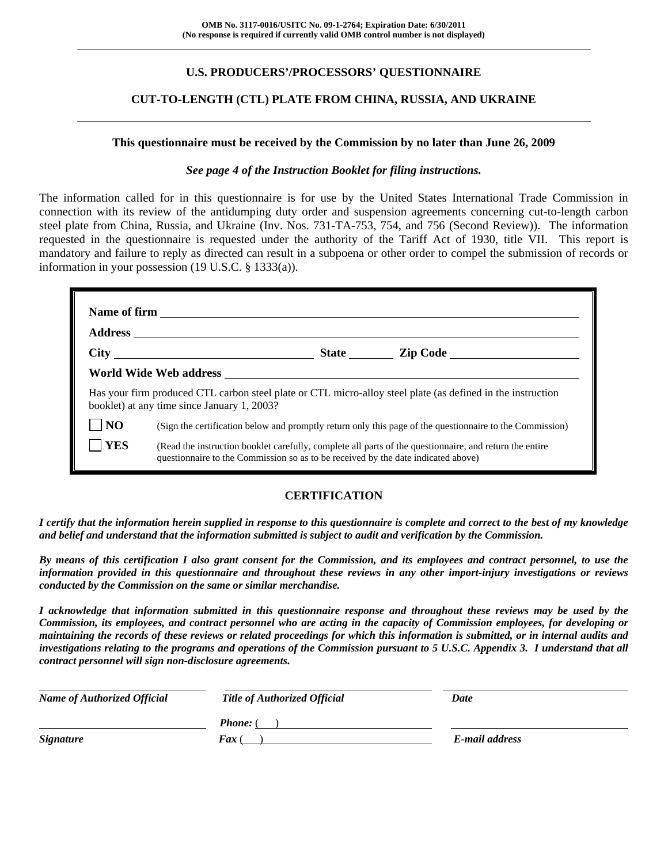# **U.S. PRODUCERS'/PROCESSORS' QUESTIONNAIRE**

## **CUT-TO-LENGTH (CTL) PLATE FROM CHINA, RUSSIA, AND UKRAINE**

#### **This questionnaire must be received by the Commission by no later than June 26, 2009**

#### *See page 4 of the Instruction Booklet for filing instructions.*

The information called for in this questionnaire is for use by the United States International Trade Commission in connection with its review of the antidumping duty order and suspension agreements concerning cut-to-length carbon steel plate from China, Russia, and Ukraine (Inv. Nos. 731-TA-753, 754, and 756 (Second Review)). The information requested in the questionnaire is requested under the authority of the Tariff Act of 1930, title VII. This report is mandatory and failure to reply as directed can result in a subpoena or other order to compel the submission of records or information in your possession (19 U.S.C. § 1333(a)).

|                | Has your firm produced CTL carbon steel plate or CTL micro-alloy steel plate (as defined in the instruction<br>booklet) at any time since January 1, 2003?                                   |
|----------------|----------------------------------------------------------------------------------------------------------------------------------------------------------------------------------------------|
| N <sub>O</sub> | (Sign the certification below and promptly return only this page of the questionnaire to the Commission)                                                                                     |
| <b>YES</b>     | (Read the instruction booklet carefully, complete all parts of the questionnaire, and return the entire<br>questionnaire to the Commission so as to be received by the date indicated above) |

# **CERTIFICATION**

*I certify that the information herein supplied in response to this questionnaire is complete and correct to the best of my knowledge and belief and understand that the information submitted is subject to audit and verification by the Commission.* 

*By means of this certification I also grant consent for the Commission, and its employees and contract personnel, to use the information provided in this questionnaire and throughout these reviews in any other import-injury investigations or reviews conducted by the Commission on the same or similar merchandise.* 

*I acknowledge that information submitted in this questionnaire response and throughout these reviews may be used by the Commission, its employees, and contract personnel who are acting in the capacity of Commission employees, for developing or maintaining the records of these reviews or related proceedings for which this information is submitted, or in internal audits and investigations relating to the programs and operations of the Commission pursuant to 5 U.S.C. Appendix 3. I understand that all contract personnel will sign non-disclosure agreements.* 

| <b>Name of Authorized Official</b> | <b>Title of Authorized Official</b> | Date           |  |
|------------------------------------|-------------------------------------|----------------|--|
|                                    | <b>Phone:</b> (                     |                |  |
| <b>Signature</b>                   | <b>Fax</b> (                        | E-mail address |  |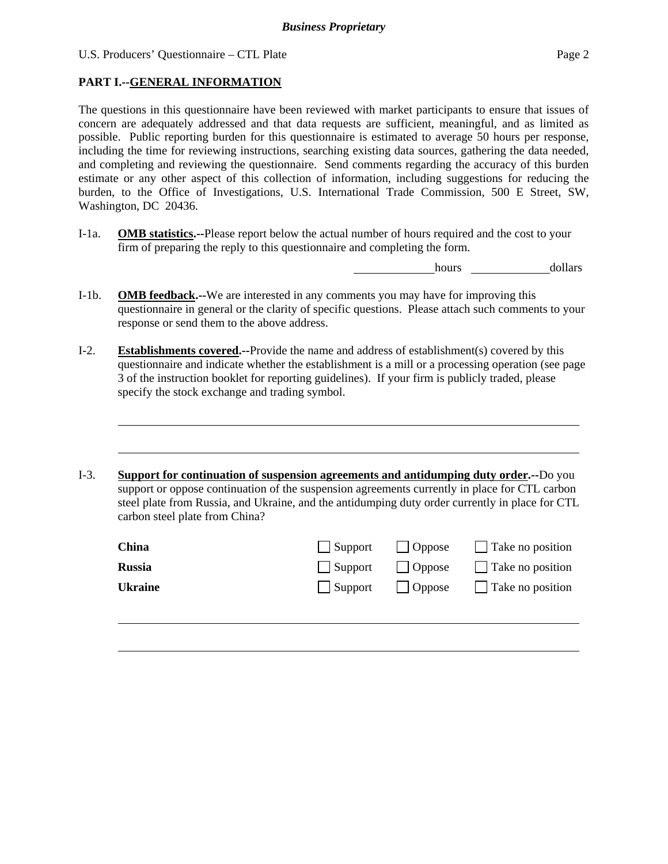# **PART I.--GENERAL INFORMATION**

 $\overline{a}$ 

l

The questions in this questionnaire have been reviewed with market participants to ensure that issues of concern are adequately addressed and that data requests are sufficient, meaningful, and as limited as possible. Public reporting burden for this questionnaire is estimated to average 50 hours per response, including the time for reviewing instructions, searching existing data sources, gathering the data needed, and completing and reviewing the questionnaire. Send comments regarding the accuracy of this burden estimate or any other aspect of this collection of information, including suggestions for reducing the burden, to the Office of Investigations, U.S. International Trade Commission, 500 E Street, SW, Washington, DC 20436.

I-1a. **OMB statistics.--**Please report below the actual number of hours required and the cost to your firm of preparing the reply to this questionnaire and completing the form.

hours dollars

- I-1b. **OMB feedback.--**We are interested in any comments you may have for improving this questionnaire in general or the clarity of specific questions. Please attach such comments to your response or send them to the above address.
- I-2. **Establishments covered.--**Provide the name and address of establishment(s) covered by this questionnaire and indicate whether the establishment is a mill or a processing operation (see page 3 of the instruction booklet for reporting guidelines). If your firm is publicly traded, please specify the stock exchange and trading symbol.

I-3. **Support for continuation of suspension agreements and antidumping duty order.--**Do you support or oppose continuation of the suspension agreements currently in place for CTL carbon steel plate from Russia, and Ukraine, and the antidumping duty order currently in place for CTL carbon steel plate from China?

| China   |         |                                | Support Oppose Take no position |
|---------|---------|--------------------------------|---------------------------------|
| Russia  | Support | $\vert$ Oppose                 | Take no position                |
| Ukraine |         | $\vert$ Support $\vert$ Oppose | Take no position                |
|         |         |                                |                                 |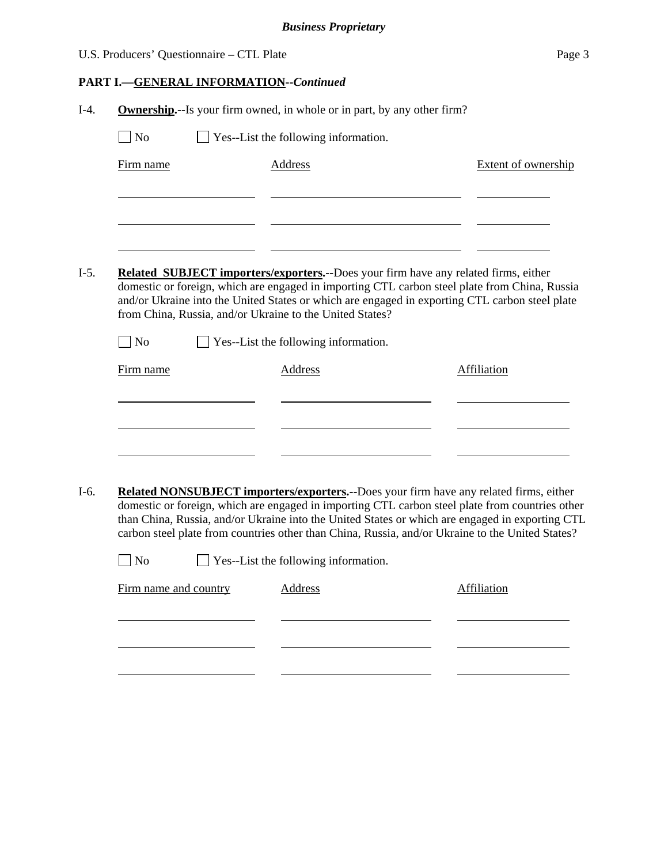|        |                                           | <b>Business Proprietary</b>                                                                                                                                                                                                                                 |                            |
|--------|-------------------------------------------|-------------------------------------------------------------------------------------------------------------------------------------------------------------------------------------------------------------------------------------------------------------|----------------------------|
|        | U.S. Producers' Questionnaire - CTL Plate |                                                                                                                                                                                                                                                             | Page 3                     |
|        |                                           | <b>PART I.-GENERAL INFORMATION--Continued</b>                                                                                                                                                                                                               |                            |
| $I-4.$ |                                           | <b>Ownership.</b> --Is your firm owned, in whole or in part, by any other firm?                                                                                                                                                                             |                            |
|        | $\Box$ No                                 | Yes--List the following information.                                                                                                                                                                                                                        |                            |
|        | Firm name                                 | Address                                                                                                                                                                                                                                                     | <b>Extent of ownership</b> |
|        |                                           |                                                                                                                                                                                                                                                             |                            |
|        |                                           |                                                                                                                                                                                                                                                             |                            |
|        |                                           |                                                                                                                                                                                                                                                             |                            |
| $I-5.$ |                                           | <b>Related SUBJECT importers/exporters.--Does your firm have any related firms, either</b>                                                                                                                                                                  |                            |
|        |                                           | domestic or foreign, which are engaged in importing CTL carbon steel plate from China, Russia<br>and/or Ukraine into the United States or which are engaged in exporting CTL carbon steel plate<br>from China, Russia, and/or Ukraine to the United States? |                            |
|        | $\overline{\phantom{a}}$ No               | Yes--List the following information.                                                                                                                                                                                                                        |                            |
|        | Firm name                                 | Address                                                                                                                                                                                                                                                     | Affiliation                |
|        |                                           |                                                                                                                                                                                                                                                             |                            |
|        |                                           |                                                                                                                                                                                                                                                             |                            |
|        |                                           |                                                                                                                                                                                                                                                             |                            |

I-6. **Related NONSUBJECT importers/exporters.--**Does your firm have any related firms, either domestic or foreign, which are engaged in importing CTL carbon steel plate from countries other than China, Russia, and/or Ukraine into the United States or which are engaged in exporting CTL carbon steel plate from countries other than China, Russia, and/or Ukraine to the United States?

| $\Box$ No | $\Box$ Yes--List the following information. |
|-----------|---------------------------------------------|
|           |                                             |

| Firm name and country | Address | Affiliation |
|-----------------------|---------|-------------|
|                       |         |             |
|                       |         |             |
|                       |         |             |
|                       |         |             |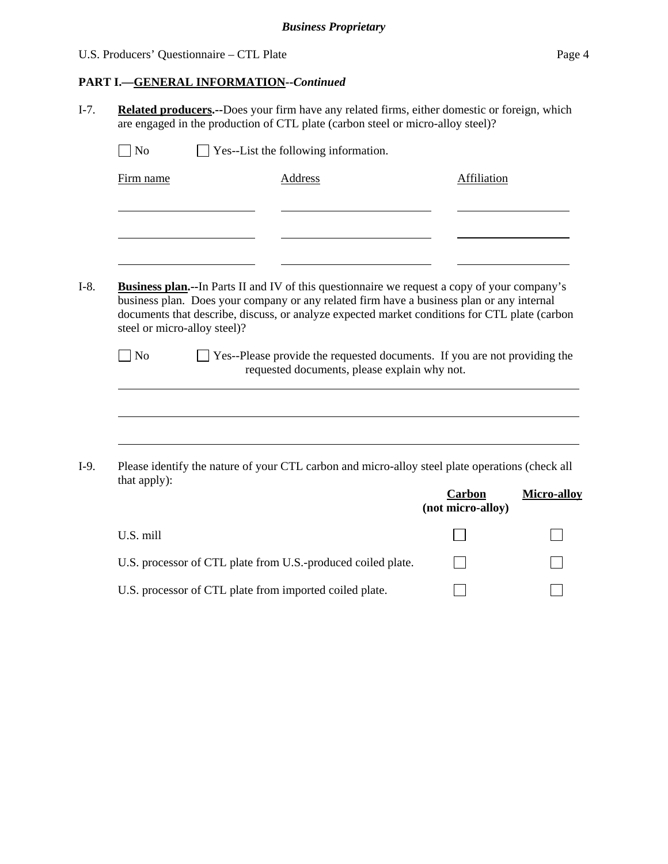# *Business Proprietary*

# U.S. Producers' Questionnaire – CTL Plate Page 4

 $\Box$ 

# **PART I.—GENERAL INFORMATION--***Continued*

I-7. **Related producers.--**Does your firm have any related firms, either domestic or foreign, which are engaged in the production of CTL plate (carbon steel or micro-alloy steel)?

| N <sub>o</sub>               | Yes--List the following information.                                                                                                                                                                                                                                                               |                             |                    |
|------------------------------|----------------------------------------------------------------------------------------------------------------------------------------------------------------------------------------------------------------------------------------------------------------------------------------------------|-----------------------------|--------------------|
| Firm name                    | <b>Address</b>                                                                                                                                                                                                                                                                                     | Affiliation                 |                    |
|                              |                                                                                                                                                                                                                                                                                                    |                             |                    |
|                              |                                                                                                                                                                                                                                                                                                    |                             |                    |
|                              |                                                                                                                                                                                                                                                                                                    |                             |                    |
| steel or micro-alloy steel)? | <b>Business plan.</b> --In Parts II and IV of this questionnaire we request a copy of your company's<br>business plan. Does your company or any related firm have a business plan or any internal<br>documents that describe, discuss, or analyze expected market conditions for CTL plate (carbon |                             |                    |
| No                           |                                                                                                                                                                                                                                                                                                    |                             |                    |
|                              | Yes--Please provide the requested documents. If you are not providing the<br>requested documents, please explain why not.                                                                                                                                                                          |                             |                    |
|                              |                                                                                                                                                                                                                                                                                                    |                             |                    |
|                              |                                                                                                                                                                                                                                                                                                    |                             |                    |
|                              | Please identify the nature of your CTL carbon and micro-alloy steel plate operations (check all                                                                                                                                                                                                    |                             |                    |
| that apply):                 |                                                                                                                                                                                                                                                                                                    | Carbon<br>(not micro-alloy) |                    |
| U.S. mill                    |                                                                                                                                                                                                                                                                                                    |                             | <b>Micro-alloy</b> |

 $\Box$ U.S. processor of CTL plate from imported coiled plate.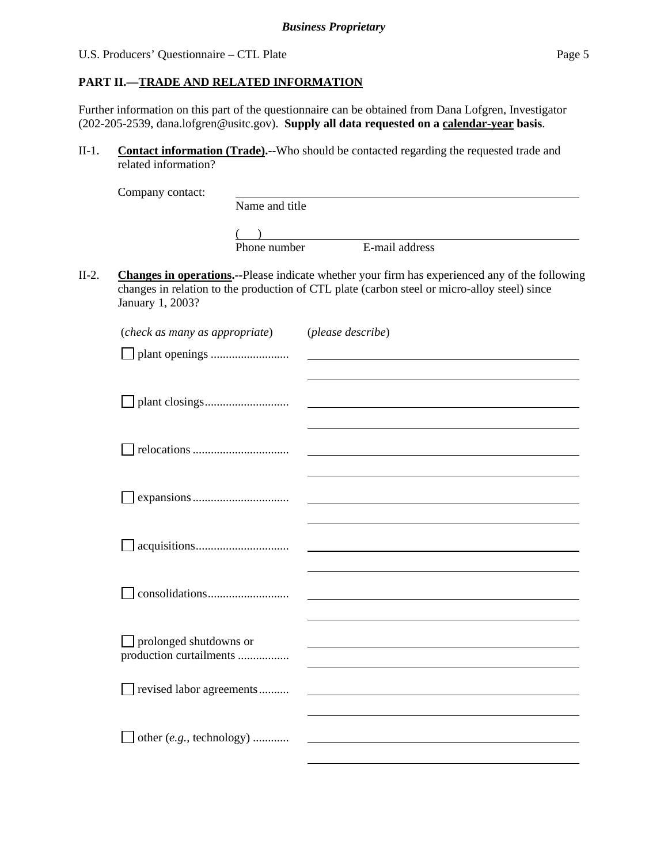#### **PART II.—TRADE AND RELATED INFORMATION**

Further information on this part of the questionnaire can be obtained from Dana Lofgren, Investigator (202-205-2539, dana.lofgren@usitc.gov). **Supply all data requested on a calendar-year basis**.

II-1. **Contact information (Trade).--**Who should be contacted regarding the requested trade and related information?

| Name and title |                |
|----------------|----------------|
|                |                |
| Phone number   | E-mail address |
|                |                |

II-2. **Changes in operations.--**Please indicate whether your firm has experienced any of the following changes in relation to the production of CTL plate (carbon steel or micro-alloy steel) since January 1, 2003?

| (check as many as appropriate) | (please describe) |
|--------------------------------|-------------------|
|                                |                   |
|                                |                   |
|                                |                   |
|                                |                   |
|                                |                   |
|                                |                   |
|                                |                   |
|                                |                   |
|                                |                   |
|                                |                   |
|                                |                   |
|                                |                   |
|                                |                   |
| prolonged shutdowns or         |                   |
| production curtailments        |                   |
|                                |                   |
| revised labor agreements       |                   |
|                                |                   |
| other (e.g., technology)       |                   |
|                                |                   |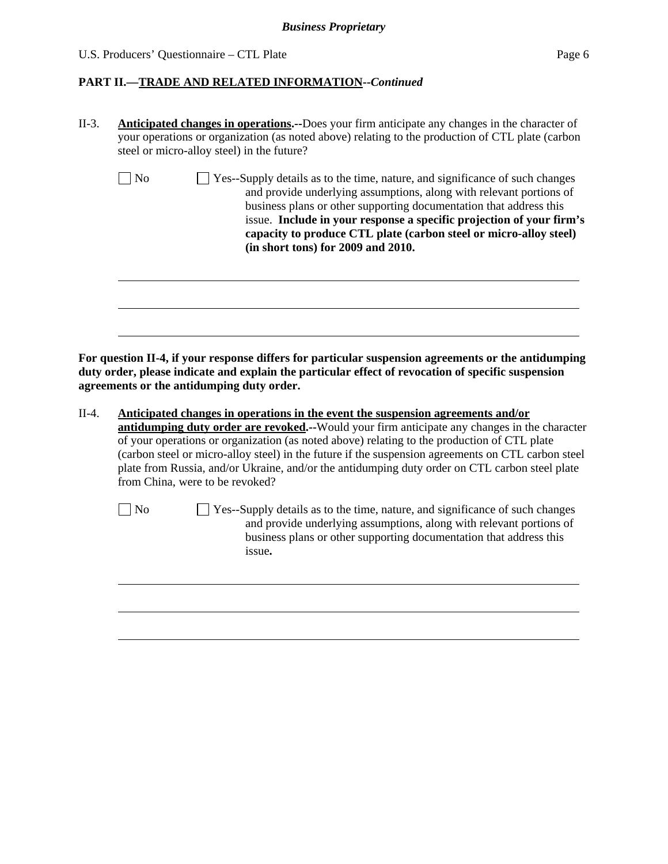#### *Business Proprietary*

#### U.S. Producers' Questionnaire – CTL Plate Page 6

l

#### **PART II.—TRADE AND RELATED INFORMATION--***Continued*

| Yes--Supply details as to the time, nature, and significance of such changes<br>No<br>and provide underlying assumptions, along with relevant portions of<br>business plans or other supporting documentation that address this<br>issue. Include in your response a specific projection of your firm's<br>capacity to produce CTL plate (carbon steel or micro-alloy steel)<br>(in short tons) for 2009 and 2010. |
|--------------------------------------------------------------------------------------------------------------------------------------------------------------------------------------------------------------------------------------------------------------------------------------------------------------------------------------------------------------------------------------------------------------------|
|                                                                                                                                                                                                                                                                                                                                                                                                                    |

**For question II-4, if your response differs for particular suspension agreements or the antidumping duty order, please indicate and explain the particular effect of revocation of specific suspension agreements or the antidumping duty order.** 

II-4. **Anticipated changes in operations in the event the suspension agreements and/or antidumping duty order are revoked.--**Would your firm anticipate any changes in the character of your operations or organization (as noted above) relating to the production of CTL plate (carbon steel or micro-alloy steel) in the future if the suspension agreements on CTL carbon steel plate from Russia, and/or Ukraine, and/or the antidumping duty order on CTL carbon steel plate from China, were to be revoked?

No Yes--Supply details as to the time, nature, and significance of such changes and provide underlying assumptions, along with relevant portions of business plans or other supporting documentation that address this issue**.**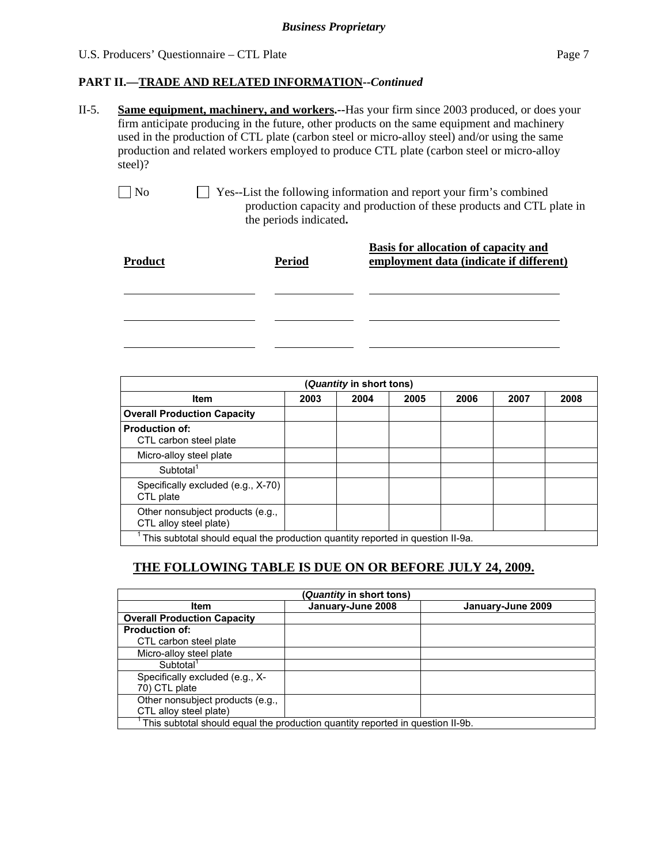## **PART II.—TRADE AND RELATED INFORMATION--***Continued*

- II-5. **Same equipment, machinery, and workers.--**Has your firm since 2003 produced, or does your firm anticipate producing in the future, other products on the same equipment and machinery used in the production of CTL plate (carbon steel or micro-alloy steel) and/or using the same production and related workers employed to produce CTL plate (carbon steel or micro-alloy steel)?
	- No Ses--List the following information and report your firm's combined production capacity and production of these products and CTL plate in the periods indicated**.**

| <b>Product</b> | <b>Period</b> | <b>Basis for allocation of capacity and</b><br>employment data (indicate if different) |
|----------------|---------------|----------------------------------------------------------------------------------------|
|                |               |                                                                                        |
|                |               |                                                                                        |
|                |               |                                                                                        |

| Quantity in short tons)                                                        |  |  |  |  |  |  |  |
|--------------------------------------------------------------------------------|--|--|--|--|--|--|--|
| <b>Item</b><br>2007<br>2003<br>2005<br>2006<br>2004                            |  |  |  |  |  |  |  |
| <b>Overall Production Capacity</b>                                             |  |  |  |  |  |  |  |
| <b>Production of:</b><br>CTL carbon steel plate                                |  |  |  |  |  |  |  |
| Micro-alloy steel plate                                                        |  |  |  |  |  |  |  |
| Subtotal <sup>1</sup>                                                          |  |  |  |  |  |  |  |
| Specifically excluded (e.g., X-70)<br>CTL plate                                |  |  |  |  |  |  |  |
| Other nonsubject products (e.g.,<br>CTL alloy steel plate)                     |  |  |  |  |  |  |  |
| This subtotal should equal the production quantity reported in question II-9a. |  |  |  |  |  |  |  |

# **THE FOLLOWING TABLE IS DUE ON OR BEFORE JULY 24, 2009.**

| Quantity in short tons)                                                        |  |  |  |  |  |  |  |
|--------------------------------------------------------------------------------|--|--|--|--|--|--|--|
| January-June 2008<br><b>Item</b><br>January-June 2009                          |  |  |  |  |  |  |  |
| <b>Overall Production Capacity</b>                                             |  |  |  |  |  |  |  |
| <b>Production of:</b>                                                          |  |  |  |  |  |  |  |
| CTL carbon steel plate                                                         |  |  |  |  |  |  |  |
| Micro-alloy steel plate                                                        |  |  |  |  |  |  |  |
| Subtotal <sup>1</sup>                                                          |  |  |  |  |  |  |  |
| Specifically excluded (e.g., X-                                                |  |  |  |  |  |  |  |
| 70) CTL plate                                                                  |  |  |  |  |  |  |  |
| Other nonsubject products (e.g.,                                               |  |  |  |  |  |  |  |
| CTL alloy steel plate)                                                         |  |  |  |  |  |  |  |
| This subtotal should equal the production quantity reported in question II-9b. |  |  |  |  |  |  |  |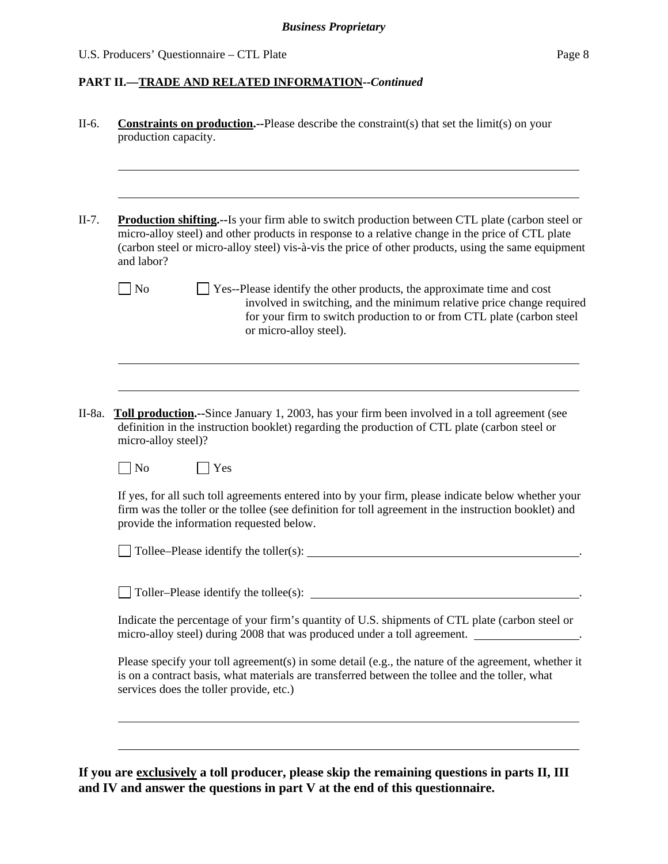#### **PART II.—TRADE AND RELATED INFORMATION--***Continued*

| II-6.    | <b>Constraints on production.</b> --Please describe the constraint(s) that set the $limit(s)$ on your<br>production capacity.                                                                                                                                                                                                    |
|----------|----------------------------------------------------------------------------------------------------------------------------------------------------------------------------------------------------------------------------------------------------------------------------------------------------------------------------------|
| $II-7.$  | <b>Production shifting.</b> --Is your firm able to switch production between CTL plate (carbon steel or<br>micro-alloy steel) and other products in response to a relative change in the price of CTL plate<br>(carbon steel or micro-alloy steel) vis-à-vis the price of other products, using the same equipment<br>and labor? |
|          | $\Box$ No<br>$\Box$ Yes--Please identify the other products, the approximate time and cost<br>involved in switching, and the minimum relative price change required<br>for your firm to switch production to or from CTL plate (carbon steel<br>or micro-alloy steel).                                                           |
|          |                                                                                                                                                                                                                                                                                                                                  |
| $II-8a.$ | <b>Toll production.</b> --Since January 1, 2003, has your firm been involved in a toll agreement (see<br>definition in the instruction booklet) regarding the production of CTL plate (carbon steel or<br>micro-alloy steel)?                                                                                                    |
|          | $\overline{N}$<br><b>Yes</b>                                                                                                                                                                                                                                                                                                     |
|          | If yes, for all such toll agreements entered into by your firm, please indicate below whether your<br>firm was the toller or the tollee (see definition for toll agreement in the instruction booklet) and<br>provide the information requested below.                                                                           |
|          | Tollee–Please identify the toller(s):                                                                                                                                                                                                                                                                                            |
|          | Toller-Please identify the tollee(s):                                                                                                                                                                                                                                                                                            |
|          | Indicate the percentage of your firm's quantity of U.S. shipments of CTL plate (carbon steel or<br>micro-alloy steel) during 2008 that was produced under a toll agreement.                                                                                                                                                      |
|          | Please specify your toll agreement(s) in some detail (e.g., the nature of the agreement, whether it<br>is on a contract basis, what materials are transferred between the tollee and the toller, what<br>services does the toller provide, etc.)                                                                                 |
|          |                                                                                                                                                                                                                                                                                                                                  |
|          |                                                                                                                                                                                                                                                                                                                                  |

**If you are exclusively a toll producer, please skip the remaining questions in parts II, III and IV and answer the questions in part V at the end of this questionnaire.**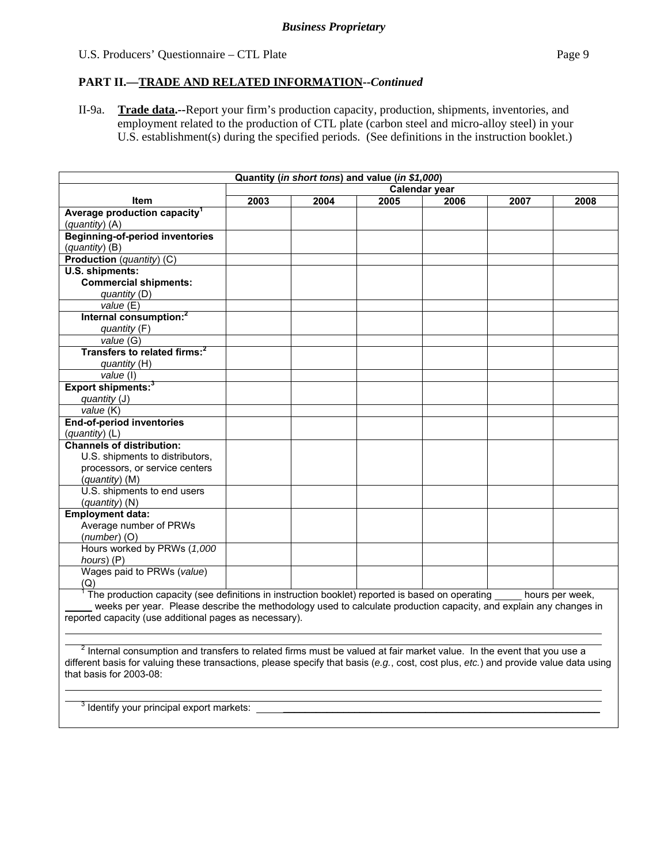#### **PART II.—TRADE AND RELATED INFORMATION--***Continued*

II-9a. **Trade data.--**Report your firm's production capacity, production, shipments, inventories, and employment related to the production of CTL plate (carbon steel and micro-alloy steel) in your U.S. establishment(s) during the specified periods. (See definitions in the instruction booklet.)

| Quantity (in short tons) and value (in \$1,000)                                                                                                                                                                                                                           |               |      |      |      |      |                 |
|---------------------------------------------------------------------------------------------------------------------------------------------------------------------------------------------------------------------------------------------------------------------------|---------------|------|------|------|------|-----------------|
|                                                                                                                                                                                                                                                                           | Calendar year |      |      |      |      |                 |
| <b>Item</b>                                                                                                                                                                                                                                                               | 2003          | 2004 | 2005 | 2006 | 2007 | 2008            |
| Average production capacity <sup>1</sup>                                                                                                                                                                                                                                  |               |      |      |      |      |                 |
| (quantity) (A)                                                                                                                                                                                                                                                            |               |      |      |      |      |                 |
| <b>Beginning-of-period inventories</b>                                                                                                                                                                                                                                    |               |      |      |      |      |                 |
| (quantity) (B)                                                                                                                                                                                                                                                            |               |      |      |      |      |                 |
| Production (quantity) (C)                                                                                                                                                                                                                                                 |               |      |      |      |      |                 |
| U.S. shipments:                                                                                                                                                                                                                                                           |               |      |      |      |      |                 |
| <b>Commercial shipments:</b>                                                                                                                                                                                                                                              |               |      |      |      |      |                 |
| quantity (D)                                                                                                                                                                                                                                                              |               |      |      |      |      |                 |
| value(E)                                                                                                                                                                                                                                                                  |               |      |      |      |      |                 |
| Internal consumption: <sup>2</sup>                                                                                                                                                                                                                                        |               |      |      |      |      |                 |
| quantity (F)                                                                                                                                                                                                                                                              |               |      |      |      |      |                 |
| value (G)                                                                                                                                                                                                                                                                 |               |      |      |      |      |                 |
| Transfers to related firms: <sup>2</sup>                                                                                                                                                                                                                                  |               |      |      |      |      |                 |
| quantity (H)                                                                                                                                                                                                                                                              |               |      |      |      |      |                 |
| value (I)                                                                                                                                                                                                                                                                 |               |      |      |      |      |                 |
| Export shipments: <sup>3</sup>                                                                                                                                                                                                                                            |               |      |      |      |      |                 |
| quantity (J)                                                                                                                                                                                                                                                              |               |      |      |      |      |                 |
| value (K)                                                                                                                                                                                                                                                                 |               |      |      |      |      |                 |
| End-of-period inventories                                                                                                                                                                                                                                                 |               |      |      |      |      |                 |
| (quantity) (L)                                                                                                                                                                                                                                                            |               |      |      |      |      |                 |
| <b>Channels of distribution:</b>                                                                                                                                                                                                                                          |               |      |      |      |      |                 |
| U.S. shipments to distributors,                                                                                                                                                                                                                                           |               |      |      |      |      |                 |
| processors, or service centers                                                                                                                                                                                                                                            |               |      |      |      |      |                 |
| (quantity) (M)                                                                                                                                                                                                                                                            |               |      |      |      |      |                 |
| U.S. shipments to end users                                                                                                                                                                                                                                               |               |      |      |      |      |                 |
| (quantity) (N)                                                                                                                                                                                                                                                            |               |      |      |      |      |                 |
| <b>Employment data:</b>                                                                                                                                                                                                                                                   |               |      |      |      |      |                 |
| Average number of PRWs                                                                                                                                                                                                                                                    |               |      |      |      |      |                 |
| $(number)$ (O)                                                                                                                                                                                                                                                            |               |      |      |      |      |                 |
| Hours worked by PRWs (1,000                                                                                                                                                                                                                                               |               |      |      |      |      |                 |
| hours) (P)                                                                                                                                                                                                                                                                |               |      |      |      |      |                 |
| Wages paid to PRWs (value)                                                                                                                                                                                                                                                |               |      |      |      |      |                 |
| (Q)                                                                                                                                                                                                                                                                       |               |      |      |      |      |                 |
| The production capacity (see definitions in instruction booklet) reported is based on operating                                                                                                                                                                           |               |      |      |      |      | hours per week, |
| weeks per year. Please describe the methodology used to calculate production capacity, and explain any changes in                                                                                                                                                         |               |      |      |      |      |                 |
| reported capacity (use additional pages as necessary).                                                                                                                                                                                                                    |               |      |      |      |      |                 |
|                                                                                                                                                                                                                                                                           |               |      |      |      |      |                 |
|                                                                                                                                                                                                                                                                           |               |      |      |      |      |                 |
| <sup>2</sup> Internal consumption and transfers to related firms must be valued at fair market value. In the event that you use a<br>different basis for valuing these transactions, please specify that basis (e.g., cost, cost plus, etc.) and provide value data using |               |      |      |      |      |                 |
|                                                                                                                                                                                                                                                                           |               |      |      |      |      |                 |
| that basis for 2003-08:                                                                                                                                                                                                                                                   |               |      |      |      |      |                 |
|                                                                                                                                                                                                                                                                           |               |      |      |      |      |                 |

 $3$  Identify your principal export markets:  $\Box$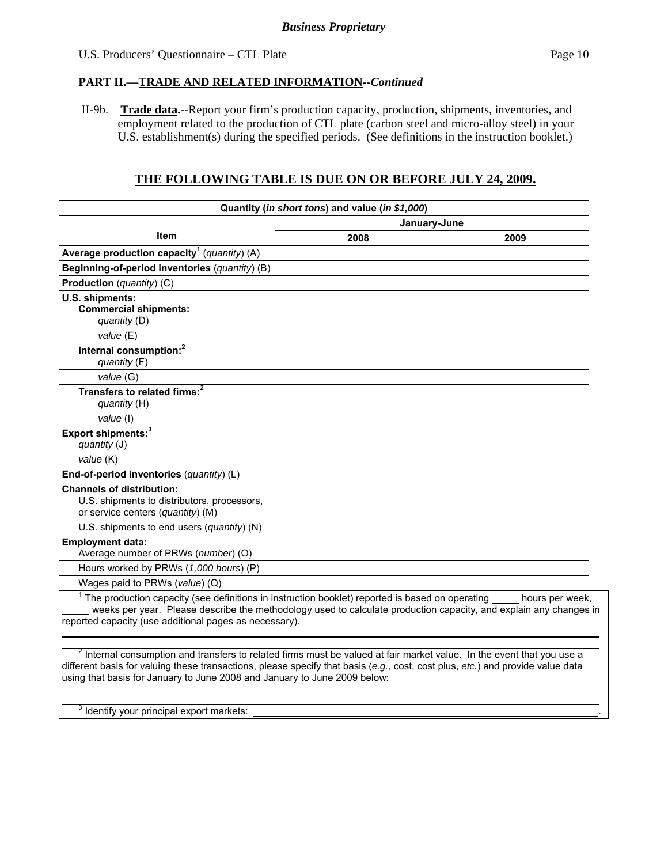#### **PART II.—TRADE AND RELATED INFORMATION--***Continued*

 II-9b. **Trade data.--**Report your firm's production capacity, production, shipments, inventories, and employment related to the production of CTL plate (carbon steel and micro-alloy steel) in your U.S. establishment(s) during the specified periods. (See definitions in the instruction booklet.)

# **THE FOLLOWING TABLE IS DUE ON OR BEFORE JULY 24, 2009.**

|                                                                                                                                                                                                                                                                                    | Quantity (in short tons) and value (in \$1,000) |                 |  |  |  |
|------------------------------------------------------------------------------------------------------------------------------------------------------------------------------------------------------------------------------------------------------------------------------------|-------------------------------------------------|-----------------|--|--|--|
|                                                                                                                                                                                                                                                                                    | January-June                                    |                 |  |  |  |
| Item                                                                                                                                                                                                                                                                               | 2008                                            | 2009            |  |  |  |
| Average production capacity <sup>1</sup> (quantity) (A)                                                                                                                                                                                                                            |                                                 |                 |  |  |  |
| Beginning-of-period inventories (quantity) (B)                                                                                                                                                                                                                                     |                                                 |                 |  |  |  |
| Production (quantity) (C)                                                                                                                                                                                                                                                          |                                                 |                 |  |  |  |
| U.S. shipments:<br><b>Commercial shipments:</b><br>quantity $(D)$                                                                                                                                                                                                                  |                                                 |                 |  |  |  |
| value (E)                                                                                                                                                                                                                                                                          |                                                 |                 |  |  |  |
| Internal consumption: <sup>2</sup><br>quantity (F)                                                                                                                                                                                                                                 |                                                 |                 |  |  |  |
| value (G)                                                                                                                                                                                                                                                                          |                                                 |                 |  |  |  |
| Transfers to related firms: <sup>2</sup><br>quantity (H)                                                                                                                                                                                                                           |                                                 |                 |  |  |  |
| value (I)                                                                                                                                                                                                                                                                          |                                                 |                 |  |  |  |
| Export shipments: <sup>3</sup><br>quantity (J)                                                                                                                                                                                                                                     |                                                 |                 |  |  |  |
| value (K)                                                                                                                                                                                                                                                                          |                                                 |                 |  |  |  |
| End-of-period inventories (quantity) (L)                                                                                                                                                                                                                                           |                                                 |                 |  |  |  |
| <b>Channels of distribution:</b><br>U.S. shipments to distributors, processors,<br>or service centers (quantity) (M)                                                                                                                                                               |                                                 |                 |  |  |  |
| U.S. shipments to end users (quantity) (N)                                                                                                                                                                                                                                         |                                                 |                 |  |  |  |
| <b>Employment data:</b><br>Average number of PRWs (number) (O)                                                                                                                                                                                                                     |                                                 |                 |  |  |  |
| Hours worked by PRWs (1,000 hours) (P)                                                                                                                                                                                                                                             |                                                 |                 |  |  |  |
| Wages paid to PRWs (value) (Q)                                                                                                                                                                                                                                                     |                                                 |                 |  |  |  |
| $1$ The production capacity (see definitions in instruction booklet) reported is based on operating<br>weeks per year. Please describe the methodology used to calculate production capacity, and explain any changes in<br>reported capacity (use additional pages as necessary). |                                                 | hours per week, |  |  |  |

 $^2$  Internal consumption and transfers to related firms must be valued at fair market value. In the event that you use a different basis for valuing these transactions, please specify that basis (*e.g.*, cost, cost plus, *etc.*) and provide value data using that basis for January to June 2008 and January to June 2009 below:

 $3$  Identify your principal export markets:  $\Box$ 

 $\overline{a}$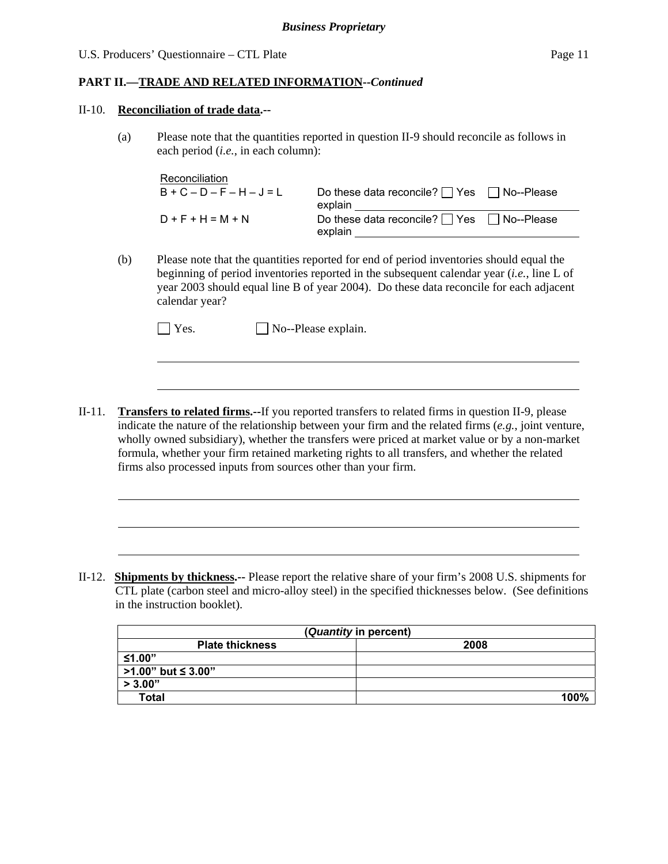#### **PART II.—TRADE AND RELATED INFORMATION--***Continued*

#### II-10. **Reconciliation of trade data.--**

l

l

(a) Please note that the quantities reported in question II-9 should reconcile as follows in each period (*i.e.*, in each column):

| Reconciliation              |                                                                  |  |
|-----------------------------|------------------------------------------------------------------|--|
| $B + C - D - F - H - J = L$ | Do these data reconcile? $\Box$ Yes $\Box$ No--Please<br>explain |  |
| $D + F + H = M + N$         | Do these data reconcile? $\Box$ Yes $\Box$ No--Please<br>explain |  |

(b) Please note that the quantities reported for end of period inventories should equal the beginning of period inventories reported in the subsequent calendar year (*i.e.*, line L of year 2003 should equal line B of year 2004). Do these data reconcile for each adjacent calendar year?

| $\blacksquare$ Yes. | $\Box$ No--Please explain. |
|---------------------|----------------------------|
|---------------------|----------------------------|

II-11. **Transfers to related firms.--**If you reported transfers to related firms in question II-9, please indicate the nature of the relationship between your firm and the related firms (*e.g.*, joint venture, wholly owned subsidiary), whether the transfers were priced at market value or by a non-market formula, whether your firm retained marketing rights to all transfers, and whether the related firms also processed inputs from sources other than your firm.

II-12. **Shipments by thickness.--** Please report the relative share of your firm's 2008 U.S. shipments for CTL plate (carbon steel and micro-alloy steel) in the specified thicknesses below. (See definitions in the instruction booklet).

| (Quantity in percent)    |      |  |  |  |  |
|--------------------------|------|--|--|--|--|
| <b>Plate thickness</b>   | 2008 |  |  |  |  |
| ≤1.00"                   |      |  |  |  |  |
| $\ge$ >1.00" but ≤ 3.00" |      |  |  |  |  |
| > 3.00"                  |      |  |  |  |  |
| <b>Total</b>             | 100% |  |  |  |  |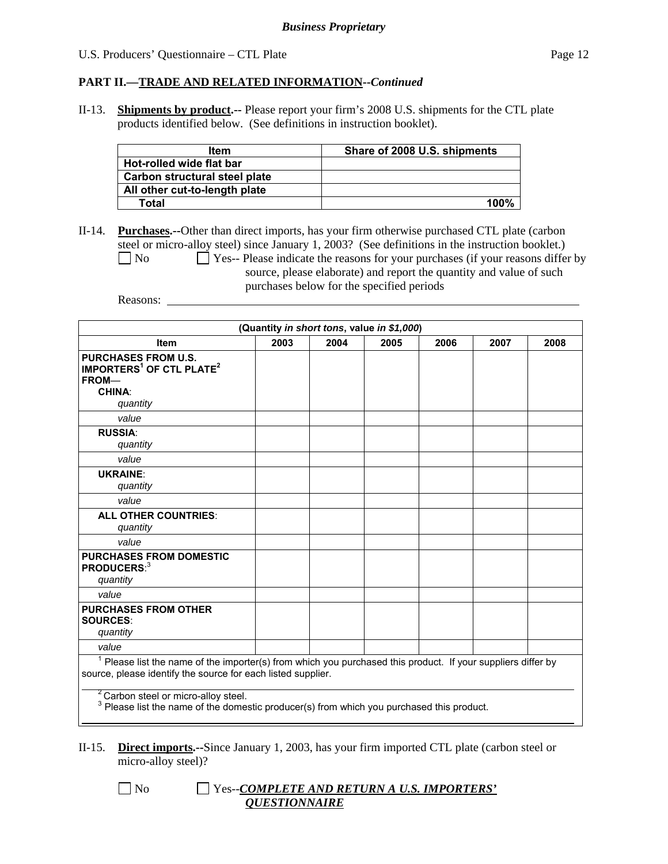#### **PART II.—TRADE AND RELATED INFORMATION--***Continued*

II-13. **Shipments by product.--** Please report your firm's 2008 U.S. shipments for the CTL plate products identified below. (See definitions in instruction booklet).

| Item                          | Share of 2008 U.S. shipments |
|-------------------------------|------------------------------|
| Hot-rolled wide flat bar      |                              |
| Carbon structural steel plate |                              |
| All other cut-to-length plate |                              |
| Total                         | 100%                         |

II-14. **Purchases.--**Other than direct imports, has your firm otherwise purchased CTL plate (carbon steel or micro-alloy steel) since January 1, 2003? (See definitions in the instruction booklet.)  $\Box$  No  $\Box$  Yes-- Please indicate the reasons for your purchases (if your reasons differ by source, please elaborate) and report the quantity and value of such purchases below for the specified periods

Reasons:

| (Quantity in short tons, value in \$1,000)                                                                                                                                     |      |      |      |      |      |      |
|--------------------------------------------------------------------------------------------------------------------------------------------------------------------------------|------|------|------|------|------|------|
| <b>Item</b>                                                                                                                                                                    | 2003 | 2004 | 2005 | 2006 | 2007 | 2008 |
| <b>PURCHASES FROM U.S.</b><br>IMPORTERS <sup>1</sup> OF CTL PLATE <sup>2</sup><br>FROM-<br><b>CHINA:</b><br>quantity                                                           |      |      |      |      |      |      |
| value                                                                                                                                                                          |      |      |      |      |      |      |
| <b>RUSSIA:</b><br>quantity                                                                                                                                                     |      |      |      |      |      |      |
| value                                                                                                                                                                          |      |      |      |      |      |      |
| <b>UKRAINE:</b><br>quantity                                                                                                                                                    |      |      |      |      |      |      |
| value                                                                                                                                                                          |      |      |      |      |      |      |
| <b>ALL OTHER COUNTRIES:</b><br>quantity                                                                                                                                        |      |      |      |      |      |      |
| value                                                                                                                                                                          |      |      |      |      |      |      |
| <b>PURCHASES FROM DOMESTIC</b><br>PRODUCERS: <sup>3</sup><br>quantity                                                                                                          |      |      |      |      |      |      |
| value                                                                                                                                                                          |      |      |      |      |      |      |
| <b>PURCHASES FROM OTHER</b><br><b>SOURCES:</b><br>quantity                                                                                                                     |      |      |      |      |      |      |
| value                                                                                                                                                                          |      |      |      |      |      |      |
| $1$ Please list the name of the importer(s) from which you purchased this product. If your suppliers differ by<br>source, please identify the source for each listed supplier. |      |      |      |      |      |      |
| <sup>2</sup> Carbon steel or micro-alloy steel.<br><sup>3</sup> Please list the name of the domestic producer(s) from which you purchased this product.                        |      |      |      |      |      |      |

## II-15. **Direct imports.--**Since January 1, 2003, has your firm imported CTL plate (carbon steel or micro-alloy steel)?

# No Yes--*COMPLETE AND RETURN A U.S. IMPORTERS' QUESTIONNAIRE*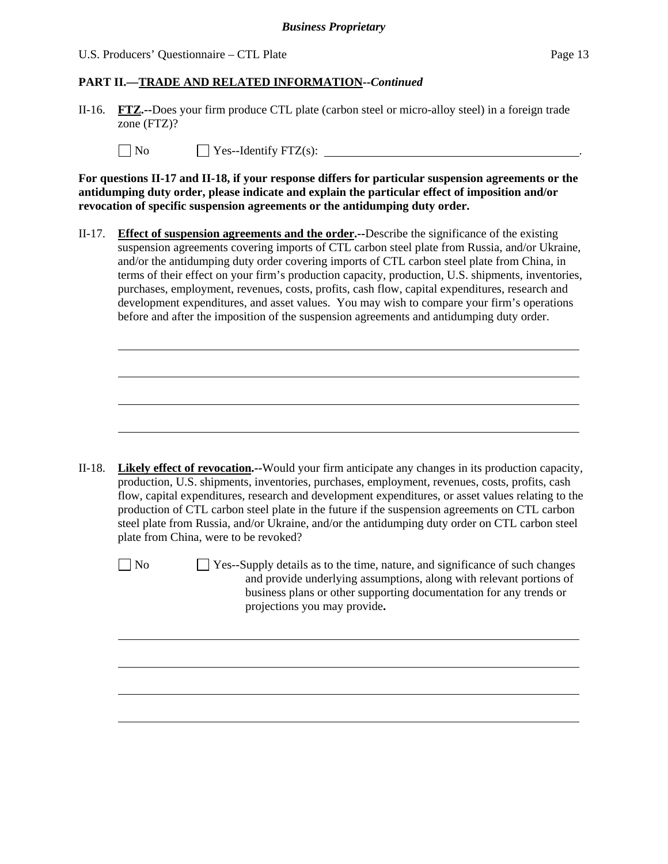#### *Business Proprietary*

U.S. Producers' Questionnaire – CTL Plate Page 13

#### **PART II.—TRADE AND RELATED INFORMATION--***Continued*

II-16. **FTZ.--**Does your firm produce CTL plate (carbon steel or micro-alloy steel) in a foreign trade zone (FTZ)?

| $\mathsf{N}_0$<br>$\angle$ Yes--Identify FTZ(s): |  |
|--------------------------------------------------|--|
|--------------------------------------------------|--|

**For questions II-17 and II-18, if your response differs for particular suspension agreements or the antidumping duty order, please indicate and explain the particular effect of imposition and/or revocation of specific suspension agreements or the antidumping duty order.**

II-17. **Effect of suspension agreements and the order.--**Describe the significance of the existing suspension agreements covering imports of CTL carbon steel plate from Russia, and/or Ukraine, and/or the antidumping duty order covering imports of CTL carbon steel plate from China, in terms of their effect on your firm's production capacity, production, U.S. shipments, inventories, purchases, employment, revenues, costs, profits, cash flow, capital expenditures, research and development expenditures, and asset values. You may wish to compare your firm's operations before and after the imposition of the suspension agreements and antidumping duty order.

II-18. **Likely effect of revocation.--**Would your firm anticipate any changes in its production capacity, production, U.S. shipments, inventories, purchases, employment, revenues, costs, profits, cash flow, capital expenditures, research and development expenditures, or asset values relating to the production of CTL carbon steel plate in the future if the suspension agreements on CTL carbon steel plate from Russia, and/or Ukraine, and/or the antidumping duty order on CTL carbon steel plate from China, were to be revoked?

 $\overline{a}$ 

l

 $\Box$  No  $\Box$  Yes--Supply details as to the time, nature, and significance of such changes and provide underlying assumptions, along with relevant portions of business plans or other supporting documentation for any trends or projections you may provide**.**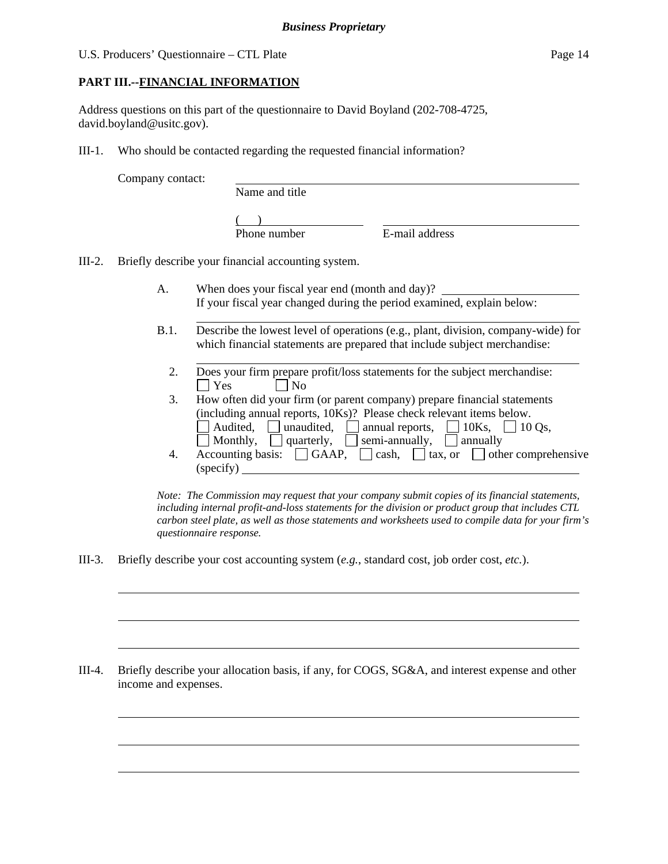# **PART III.--FINANCIAL INFORMATION**

Address questions on this part of the questionnaire to David Boyland (202-708-4725, david.boyland@usitc.gov).

III-1. Who should be contacted regarding the requested financial information?

Company contact:

l

 $\overline{a}$ 

 $\overline{a}$ 

 $\overline{a}$ 

 $\overline{a}$ 

 $\overline{a}$ 

Name and title

 $($ 

Phone number E-mail address

III-2. Briefly describe your financial accounting system.

l

- A. When does your fiscal year end (month and day)? If your fiscal year changed during the period examined, explain below:
- B.1. Describe the lowest level of operations (e.g., plant, division, company-wide) for which financial statements are prepared that include subject merchandise:
	- l 2. Does your firm prepare profit/loss statements for the subject merchandise:  $\Box$  Yes  $\Box$  No
	- 3. How often did your firm (or parent company) prepare financial statements (including annual reports, 10Ks)? Please check relevant items below. Audited, <u>I</u> unaudited,  $\Box$  annual reports,  $\Box$  10Ks,  $\Box$  10 Qs, Monthly,  $\Box$  quarterly,  $\Box$  semi-annually,  $\Box$  annually
	- 4. Accounting basis:  $\Box$  GAAP,  $\Box$  cash,  $\Box$  tax, or  $\Box$  other comprehensive (specify)

*Note: The Commission may request that your company submit copies of its financial statements, including internal profit-and-loss statements for the division or product group that includes CTL carbon steel plate, as well as those statements and worksheets used to compile data for your firm's questionnaire response.* 

III-3. Briefly describe your cost accounting system (*e.g.*, standard cost, job order cost, *etc.*).

III-4. Briefly describe your allocation basis, if any, for COGS, SG&A, and interest expense and other income and expenses.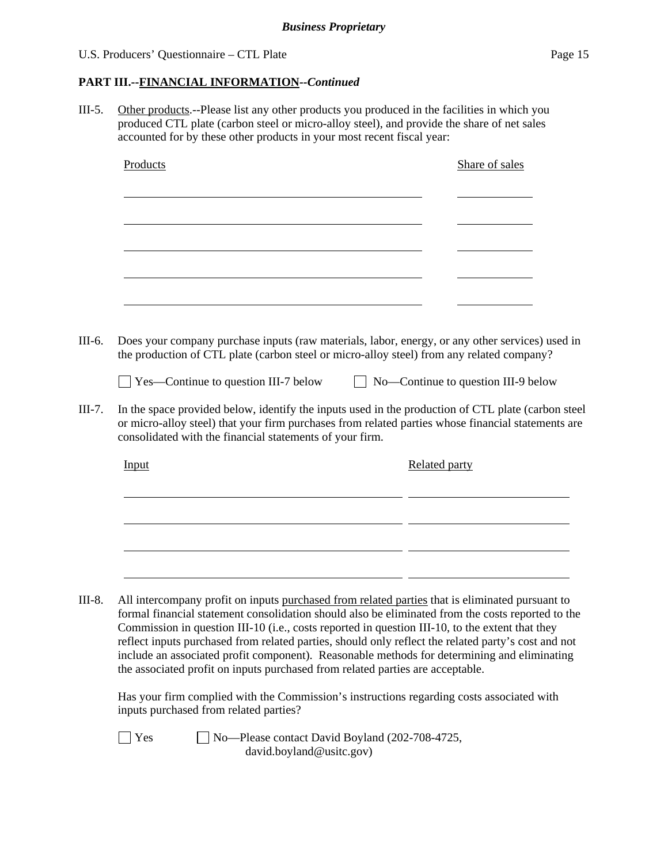## **PART III.--FINANCIAL INFORMATION***--Continued*

III-5. Other products.--Please list any other products you produced in the facilities in which you produced CTL plate (carbon steel or micro-alloy steel), and provide the share of net sales accounted for by these other products in your most recent fiscal year:

| Products                                                                                                                                                                                                                                                                                                                                                                                                   |  |               | Share of sales                      |  |
|------------------------------------------------------------------------------------------------------------------------------------------------------------------------------------------------------------------------------------------------------------------------------------------------------------------------------------------------------------------------------------------------------------|--|---------------|-------------------------------------|--|
|                                                                                                                                                                                                                                                                                                                                                                                                            |  |               |                                     |  |
|                                                                                                                                                                                                                                                                                                                                                                                                            |  |               |                                     |  |
|                                                                                                                                                                                                                                                                                                                                                                                                            |  |               |                                     |  |
|                                                                                                                                                                                                                                                                                                                                                                                                            |  |               |                                     |  |
|                                                                                                                                                                                                                                                                                                                                                                                                            |  |               |                                     |  |
| Does your company purchase inputs (raw materials, labor, energy, or any other services) used in<br>the production of CTL plate (carbon steel or micro-alloy steel) from any related company?                                                                                                                                                                                                               |  |               |                                     |  |
| Yes—Continue to question III-7 below                                                                                                                                                                                                                                                                                                                                                                       |  |               | No-Continue to question III-9 below |  |
| In the space provided below, identify the inputs used in the production of CTL plate (carbon steel<br>or micro-alloy steel) that your firm purchases from related parties whose financial statements are<br>consolidated with the financial statements of your firm.                                                                                                                                       |  |               |                                     |  |
| Input                                                                                                                                                                                                                                                                                                                                                                                                      |  | Related party |                                     |  |
|                                                                                                                                                                                                                                                                                                                                                                                                            |  |               |                                     |  |
|                                                                                                                                                                                                                                                                                                                                                                                                            |  |               |                                     |  |
|                                                                                                                                                                                                                                                                                                                                                                                                            |  |               |                                     |  |
| All intercompany profit on inputs purchased from related parties that is eliminated pursuant to                                                                                                                                                                                                                                                                                                            |  |               |                                     |  |
| formal financial statement consolidation should also be eliminated from the costs reported to the<br>Commission in question III-10 (i.e., costs reported in question III-10, to the extent that they<br>reflect inputs purchased from related parties, should only reflect the related party's cost and not<br>include an associated profit component). Reasonable methods for determining and eliminating |  |               |                                     |  |
| the associated profit on inputs purchased from related parties are acceptable.                                                                                                                                                                                                                                                                                                                             |  |               |                                     |  |
| Has your firm complied with the Commission's instructions regarding costs associated with                                                                                                                                                                                                                                                                                                                  |  |               |                                     |  |

inputs purchased from related parties?

■ Yes No—Please contact David Boyland (202-708-4725, david.boyland@usitc.gov)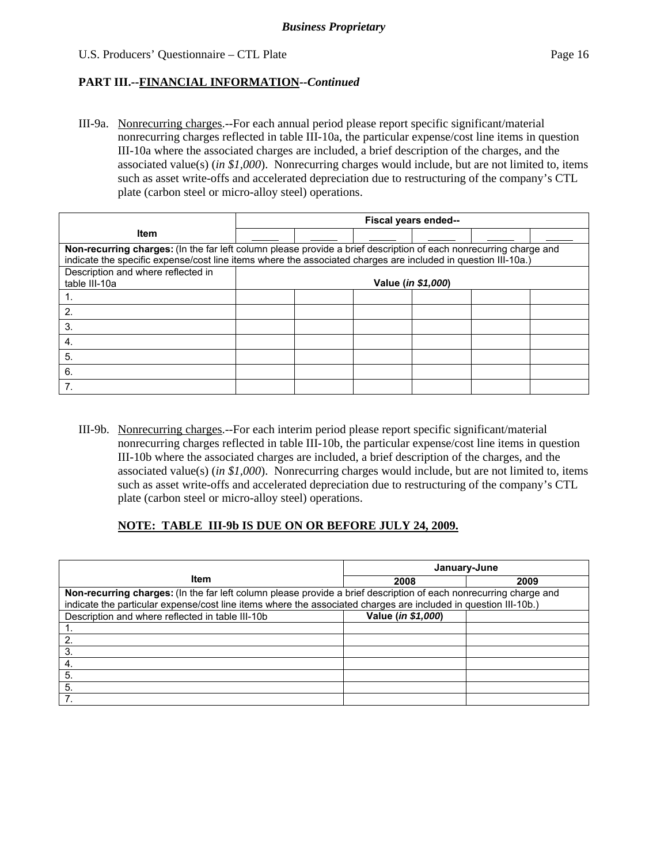III-9a. Nonrecurring charges.--For each annual period please report specific significant/material nonrecurring charges reflected in table III-10a, the particular expense/cost line items in question III-10a where the associated charges are included, a brief description of the charges, and the associated value(s) (*in \$1,000*). Nonrecurring charges would include, but are not limited to, items such as asset write-offs and accelerated depreciation due to restructuring of the company's CTL plate (carbon steel or micro-alloy steel) operations.

|                                                                                                                   | Fiscal years ended-- |  |                             |  |  |  |
|-------------------------------------------------------------------------------------------------------------------|----------------------|--|-----------------------------|--|--|--|
| <b>Item</b>                                                                                                       |                      |  |                             |  |  |  |
| Non-recurring charges: (In the far left column please provide a brief description of each nonrecurring charge and |                      |  |                             |  |  |  |
| indicate the specific expense/cost line items where the associated charges are included in question III-10a.)     |                      |  |                             |  |  |  |
| Description and where reflected in                                                                                |                      |  |                             |  |  |  |
| table III-10a                                                                                                     |                      |  | Value ( <i>in \$1,000</i> ) |  |  |  |
|                                                                                                                   |                      |  |                             |  |  |  |
| 2                                                                                                                 |                      |  |                             |  |  |  |
| 3.                                                                                                                |                      |  |                             |  |  |  |
| 4.                                                                                                                |                      |  |                             |  |  |  |
| 5.                                                                                                                |                      |  |                             |  |  |  |
| 6.                                                                                                                |                      |  |                             |  |  |  |
|                                                                                                                   |                      |  |                             |  |  |  |

III-9b. Nonrecurring charges.--For each interim period please report specific significant/material nonrecurring charges reflected in table III-10b, the particular expense/cost line items in question III-10b where the associated charges are included, a brief description of the charges, and the associated value(s) (*in \$1,000*). Nonrecurring charges would include, but are not limited to, items such as asset write-offs and accelerated depreciation due to restructuring of the company's CTL plate (carbon steel or micro-alloy steel) operations.

#### **NOTE: TABLE III-9b IS DUE ON OR BEFORE JULY 24, 2009.**

|                                                                                                                   | January-June       |      |  |  |  |
|-------------------------------------------------------------------------------------------------------------------|--------------------|------|--|--|--|
| Item                                                                                                              | 2008               | 2009 |  |  |  |
| Non-recurring charges: (In the far left column please provide a brief description of each nonrecurring charge and |                    |      |  |  |  |
| indicate the particular expense/cost line items where the associated charges are included in question III-10b.)   |                    |      |  |  |  |
| Description and where reflected in table III-10b                                                                  | Value (in \$1,000) |      |  |  |  |
|                                                                                                                   |                    |      |  |  |  |
| -2.                                                                                                               |                    |      |  |  |  |
| -3.                                                                                                               |                    |      |  |  |  |
| -4.                                                                                                               |                    |      |  |  |  |
| 5.                                                                                                                |                    |      |  |  |  |
| 5.                                                                                                                |                    |      |  |  |  |
|                                                                                                                   |                    |      |  |  |  |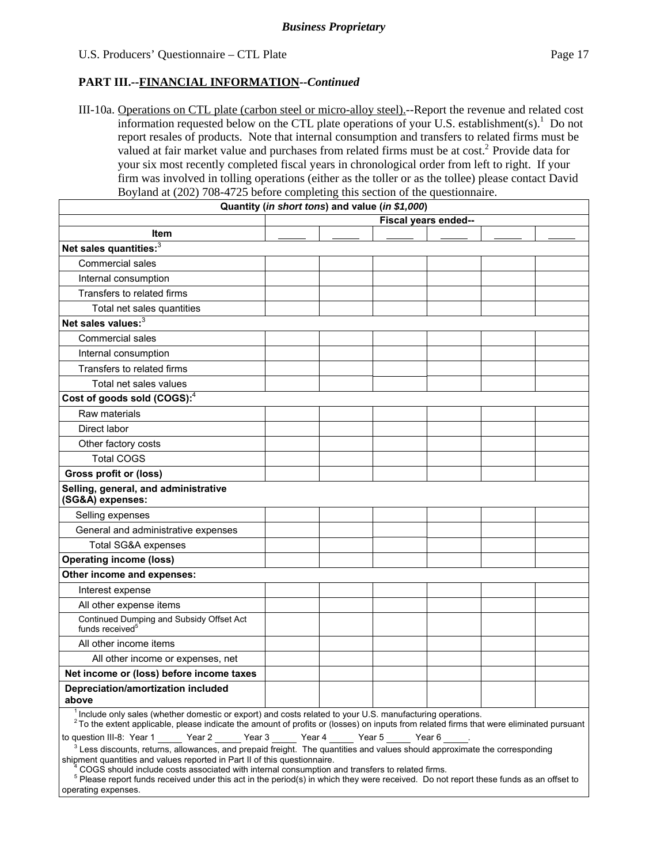III-10a. Operations on CTL plate (carbon steel or micro-alloy steel).--Report the revenue and related cost information requested below on the CTL plate operations of your U.S. establishment(s).<sup>1</sup> Do not report resales of products. Note that internal consumption and transfers to related firms must be valued at fair market value and purchases from related firms must be at cost.<sup>2</sup> Provide data for your six most recently completed fiscal years in chronological order from left to right. If your firm was involved in tolling operations (either as the toller or as the tollee) please contact David Boyland at (202) 708-4725 before completing this section of the questionnaire.

|                                                                                                                                                                                                                                                                                                             | Quantity (in short tons) and value (in \$1,000) |  |                      |  |
|-------------------------------------------------------------------------------------------------------------------------------------------------------------------------------------------------------------------------------------------------------------------------------------------------------------|-------------------------------------------------|--|----------------------|--|
|                                                                                                                                                                                                                                                                                                             |                                                 |  | Fiscal years ended-- |  |
| Item                                                                                                                                                                                                                                                                                                        |                                                 |  |                      |  |
| Net sales quantities: <sup>3</sup>                                                                                                                                                                                                                                                                          |                                                 |  |                      |  |
| Commercial sales                                                                                                                                                                                                                                                                                            |                                                 |  |                      |  |
| Internal consumption                                                                                                                                                                                                                                                                                        |                                                 |  |                      |  |
| Transfers to related firms                                                                                                                                                                                                                                                                                  |                                                 |  |                      |  |
| Total net sales quantities                                                                                                                                                                                                                                                                                  |                                                 |  |                      |  |
| Net sales values: <sup>3</sup>                                                                                                                                                                                                                                                                              |                                                 |  |                      |  |
| <b>Commercial sales</b>                                                                                                                                                                                                                                                                                     |                                                 |  |                      |  |
| Internal consumption                                                                                                                                                                                                                                                                                        |                                                 |  |                      |  |
| Transfers to related firms                                                                                                                                                                                                                                                                                  |                                                 |  |                      |  |
| Total net sales values                                                                                                                                                                                                                                                                                      |                                                 |  |                      |  |
| Cost of goods sold (COGS): <sup>4</sup>                                                                                                                                                                                                                                                                     |                                                 |  |                      |  |
| Raw materials                                                                                                                                                                                                                                                                                               |                                                 |  |                      |  |
| Direct labor                                                                                                                                                                                                                                                                                                |                                                 |  |                      |  |
| Other factory costs                                                                                                                                                                                                                                                                                         |                                                 |  |                      |  |
| <b>Total COGS</b>                                                                                                                                                                                                                                                                                           |                                                 |  |                      |  |
| <b>Gross profit or (loss)</b>                                                                                                                                                                                                                                                                               |                                                 |  |                      |  |
| Selling, general, and administrative<br>(SG&A) expenses:                                                                                                                                                                                                                                                    |                                                 |  |                      |  |
| Selling expenses                                                                                                                                                                                                                                                                                            |                                                 |  |                      |  |
| General and administrative expenses                                                                                                                                                                                                                                                                         |                                                 |  |                      |  |
| Total SG&A expenses                                                                                                                                                                                                                                                                                         |                                                 |  |                      |  |
| <b>Operating income (loss)</b>                                                                                                                                                                                                                                                                              |                                                 |  |                      |  |
| Other income and expenses:                                                                                                                                                                                                                                                                                  |                                                 |  |                      |  |
| Interest expense                                                                                                                                                                                                                                                                                            |                                                 |  |                      |  |
| All other expense items                                                                                                                                                                                                                                                                                     |                                                 |  |                      |  |
| Continued Dumping and Subsidy Offset Act<br>funds received <sup>5</sup>                                                                                                                                                                                                                                     |                                                 |  |                      |  |
| All other income items                                                                                                                                                                                                                                                                                      |                                                 |  |                      |  |
| All other income or expenses, net                                                                                                                                                                                                                                                                           |                                                 |  |                      |  |
| Net income or (loss) before income taxes                                                                                                                                                                                                                                                                    |                                                 |  |                      |  |
| Depreciation/amortization included<br>above                                                                                                                                                                                                                                                                 |                                                 |  |                      |  |
| <sup>1</sup> Include only sales (whether domestic or export) and costs related to your U.S. manufacturing operations.<br><sup>2</sup> To the extent applicable, please indicate the amount of profits or (losses) on inputs from related firms that were eliminated pursuant                                |                                                 |  |                      |  |
| to question III-8: Year 1 Year 2 Year 3 Year 4 Year 5 Year 6                                                                                                                                                                                                                                                |                                                 |  |                      |  |
| $3$ Less discounts, returns, allowances, and prepaid freight. The quantities and values should approximate the corresponding<br>shipment quantities and values reported in Part II of this questionnaire.<br>COGS should include costs associated with internal consumption and transfers to related firms. |                                                 |  |                      |  |

 <sup>5</sup> Please report funds received under this act in the period(s) in which they were received. Do not report these funds as an offset to operating expenses.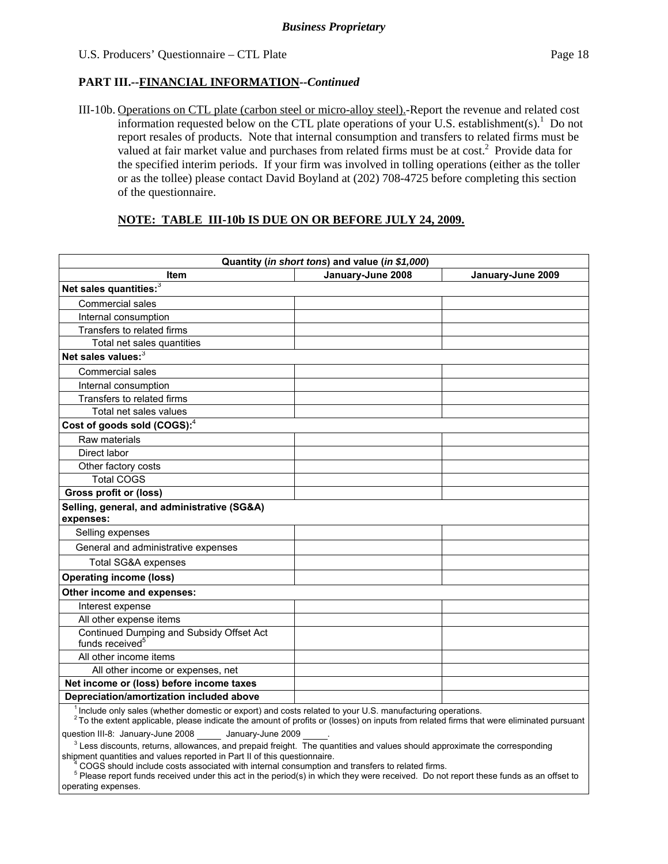III-10b. Operations on CTL plate (carbon steel or micro-alloy steel).-Report the revenue and related cost information requested below on the CTL plate operations of your U.S. establishment(s).<sup>1</sup> Do not report resales of products. Note that internal consumption and transfers to related firms must be valued at fair market value and purchases from related firms must be at  $cost<sup>2</sup>$  Provide data for the specified interim periods. If your firm was involved in tolling operations (either as the toller or as the tollee) please contact David Boyland at (202) 708-4725 before completing this section of the questionnaire.

#### **NOTE: TABLE III-10b IS DUE ON OR BEFORE JULY 24, 2009.**

| Quantity (in short tons) and value (in \$1,000)                                                                                                                                                                                                                                                                                           |                   |                   |  |  |
|-------------------------------------------------------------------------------------------------------------------------------------------------------------------------------------------------------------------------------------------------------------------------------------------------------------------------------------------|-------------------|-------------------|--|--|
| Item                                                                                                                                                                                                                                                                                                                                      | January-June 2008 | January-June 2009 |  |  |
| Net sales quantities: <sup>3</sup>                                                                                                                                                                                                                                                                                                        |                   |                   |  |  |
| Commercial sales                                                                                                                                                                                                                                                                                                                          |                   |                   |  |  |
| Internal consumption                                                                                                                                                                                                                                                                                                                      |                   |                   |  |  |
| Transfers to related firms                                                                                                                                                                                                                                                                                                                |                   |                   |  |  |
| Total net sales quantities                                                                                                                                                                                                                                                                                                                |                   |                   |  |  |
| Net sales values:3                                                                                                                                                                                                                                                                                                                        |                   |                   |  |  |
| <b>Commercial sales</b>                                                                                                                                                                                                                                                                                                                   |                   |                   |  |  |
| Internal consumption                                                                                                                                                                                                                                                                                                                      |                   |                   |  |  |
| Transfers to related firms                                                                                                                                                                                                                                                                                                                |                   |                   |  |  |
| Total net sales values                                                                                                                                                                                                                                                                                                                    |                   |                   |  |  |
| Cost of goods sold (COGS): <sup>4</sup>                                                                                                                                                                                                                                                                                                   |                   |                   |  |  |
| Raw materials                                                                                                                                                                                                                                                                                                                             |                   |                   |  |  |
| Direct labor                                                                                                                                                                                                                                                                                                                              |                   |                   |  |  |
| Other factory costs                                                                                                                                                                                                                                                                                                                       |                   |                   |  |  |
| <b>Total COGS</b>                                                                                                                                                                                                                                                                                                                         |                   |                   |  |  |
| Gross profit or (loss)                                                                                                                                                                                                                                                                                                                    |                   |                   |  |  |
| Selling, general, and administrative (SG&A)<br>expenses:                                                                                                                                                                                                                                                                                  |                   |                   |  |  |
| Selling expenses                                                                                                                                                                                                                                                                                                                          |                   |                   |  |  |
| General and administrative expenses                                                                                                                                                                                                                                                                                                       |                   |                   |  |  |
| Total SG&A expenses                                                                                                                                                                                                                                                                                                                       |                   |                   |  |  |
| <b>Operating income (loss)</b>                                                                                                                                                                                                                                                                                                            |                   |                   |  |  |
| Other income and expenses:                                                                                                                                                                                                                                                                                                                |                   |                   |  |  |
| Interest expense                                                                                                                                                                                                                                                                                                                          |                   |                   |  |  |
| All other expense items                                                                                                                                                                                                                                                                                                                   |                   |                   |  |  |
| Continued Dumping and Subsidy Offset Act<br>funds received <sup>5</sup>                                                                                                                                                                                                                                                                   |                   |                   |  |  |
| All other income items                                                                                                                                                                                                                                                                                                                    |                   |                   |  |  |
| All other income or expenses, net                                                                                                                                                                                                                                                                                                         |                   |                   |  |  |
| Net income or (loss) before income taxes                                                                                                                                                                                                                                                                                                  |                   |                   |  |  |
| Depreciation/amortization included above                                                                                                                                                                                                                                                                                                  |                   |                   |  |  |
| <sup>1</sup> Include only sales (whether domestic or export) and costs related to your U.S. manufacturing operations.<br><sup>2</sup> To the extent applicable, please indicate the amount of profits or (losses) on inputs from related firms that were eliminated pursuant<br>question III-8: January-June 2008 _____ January-June 2009 |                   |                   |  |  |

 <sup>3</sup>  $3$  Less discounts, returns, allowances, and prepaid freight. The quantities and values should approximate the corresponding

shipment quantities and values reported in Part II of this questionnaire.<br>4 COGS should include costs associated with internal consumption a COGS should include costs associated with internal consumption and transfers to related firms.

 $<sup>5</sup>$  Please report funds received under this act in the period(s) in which they were received. Do not report these funds as an offset to</sup> operating expenses.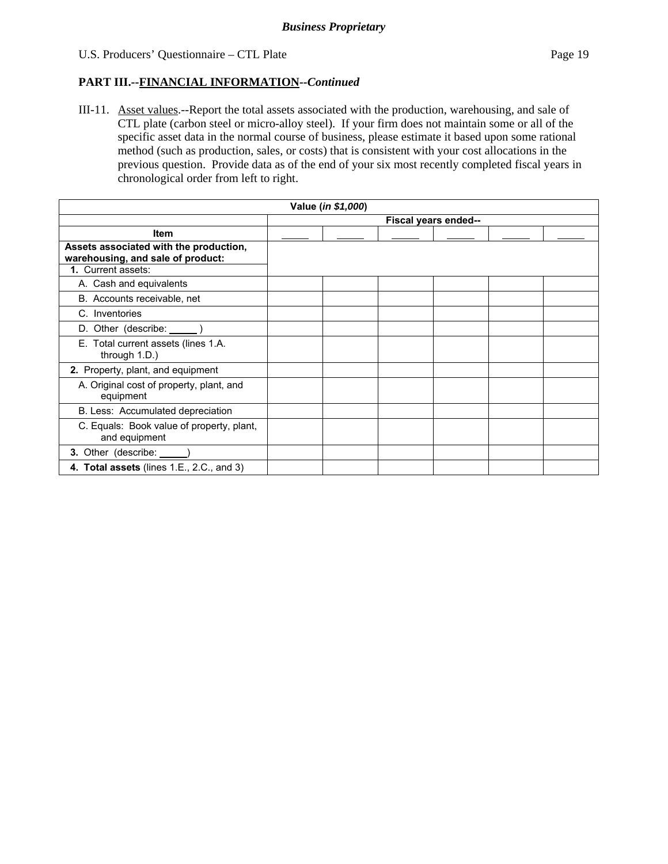III-11. Asset values.--Report the total assets associated with the production, warehousing, and sale of CTL plate (carbon steel or micro-alloy steel). If your firm does not maintain some or all of the specific asset data in the normal course of business, please estimate it based upon some rational method (such as production, sales, or costs) that is consistent with your cost allocations in the previous question. Provide data as of the end of your six most recently completed fiscal years in chronological order from left to right.

| Value (in \$1,000)                                                          |                      |  |  |  |  |  |
|-----------------------------------------------------------------------------|----------------------|--|--|--|--|--|
|                                                                             | Fiscal years ended-- |  |  |  |  |  |
| <b>Item</b>                                                                 |                      |  |  |  |  |  |
| Assets associated with the production,<br>warehousing, and sale of product: |                      |  |  |  |  |  |
| 1. Current assets:                                                          |                      |  |  |  |  |  |
| A. Cash and equivalents                                                     |                      |  |  |  |  |  |
| B. Accounts receivable, net                                                 |                      |  |  |  |  |  |
| C. Inventories                                                              |                      |  |  |  |  |  |
| D. Other (describe: ______)                                                 |                      |  |  |  |  |  |
| E. Total current assets (lines 1.A.<br>through 1.D.)                        |                      |  |  |  |  |  |
| 2. Property, plant, and equipment                                           |                      |  |  |  |  |  |
| A. Original cost of property, plant, and<br>equipment                       |                      |  |  |  |  |  |
| B. Less: Accumulated depreciation                                           |                      |  |  |  |  |  |
| C. Equals: Book value of property, plant,<br>and equipment                  |                      |  |  |  |  |  |
| 3. Other (describe: _____                                                   |                      |  |  |  |  |  |
| 4. Total assets (lines 1.E., 2.C., and 3)                                   |                      |  |  |  |  |  |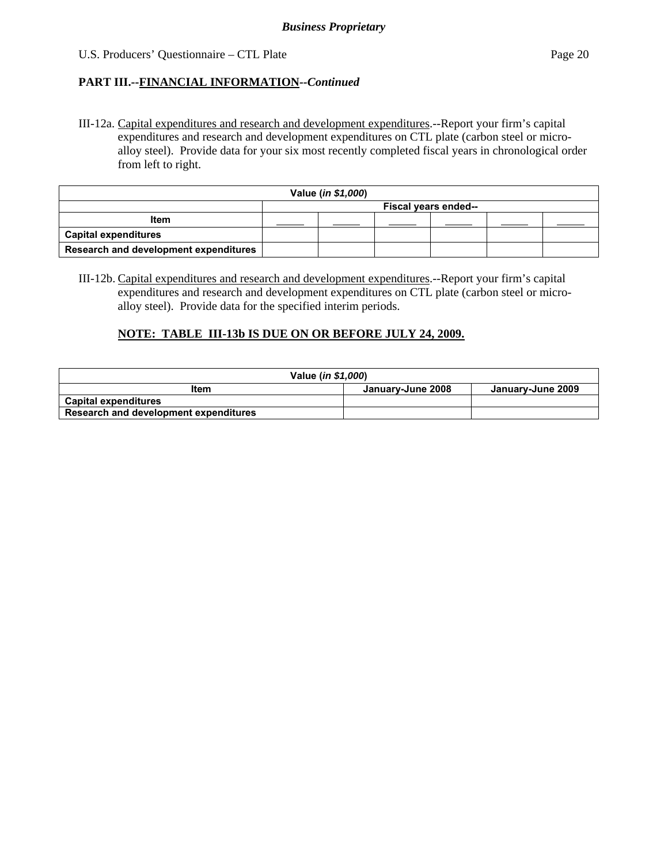III-12a. Capital expenditures and research and development expenditures.--Report your firm's capital expenditures and research and development expenditures on CTL plate (carbon steel or microalloy steel). Provide data for your six most recently completed fiscal years in chronological order from left to right.

| Value (in \$1,000)                    |                      |  |  |  |  |
|---------------------------------------|----------------------|--|--|--|--|
|                                       | Fiscal years ended-- |  |  |  |  |
| <b>Item</b>                           |                      |  |  |  |  |
| <b>Capital expenditures</b>           |                      |  |  |  |  |
| Research and development expenditures |                      |  |  |  |  |

III-12b. Capital expenditures and research and development expenditures.--Report your firm's capital expenditures and research and development expenditures on CTL plate (carbon steel or microalloy steel). Provide data for the specified interim periods.

#### **NOTE: TABLE III-13b IS DUE ON OR BEFORE JULY 24, 2009.**

| Value ( <i>in \$1,000</i> )           |                   |                   |  |  |
|---------------------------------------|-------------------|-------------------|--|--|
| Item                                  | January-June 2008 | January-June 2009 |  |  |
| <b>Capital expenditures</b>           |                   |                   |  |  |
| Research and development expenditures |                   |                   |  |  |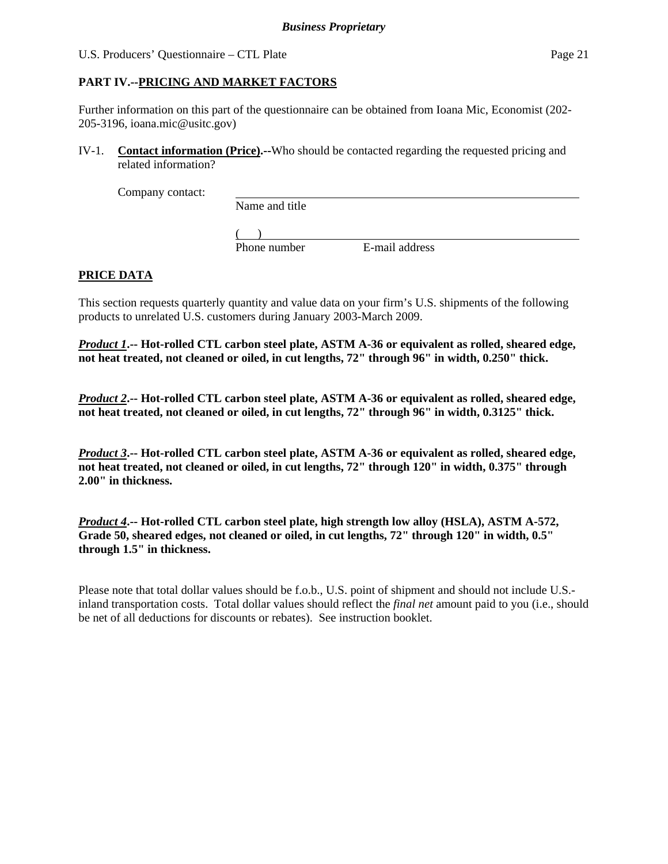## **PART IV.--PRICING AND MARKET FACTORS**

Further information on this part of the questionnaire can be obtained from Ioana Mic, Economist (202- 205-3196, ioana.mic@usitc.gov)

IV-1. **Contact information (Price).--**Who should be contacted regarding the requested pricing and related information?

Company contact:

Name and title

 $($ 

Phone number E-mail address

# **PRICE DATA**

This section requests quarterly quantity and value data on your firm's U.S. shipments of the following products to unrelated U.S. customers during January 2003-March 2009.

*Product 1***.-- Hot-rolled CTL carbon steel plate, ASTM A-36 or equivalent as rolled, sheared edge, not heat treated, not cleaned or oiled, in cut lengths, 72" through 96" in width, 0.250" thick.**

*Product 2***.-- Hot-rolled CTL carbon steel plate, ASTM A-36 or equivalent as rolled, sheared edge, not heat treated, not cleaned or oiled, in cut lengths, 72" through 96" in width, 0.3125" thick.** 

*Product 3***.-- Hot-rolled CTL carbon steel plate, ASTM A-36 or equivalent as rolled, sheared edge, not heat treated, not cleaned or oiled, in cut lengths, 72" through 120" in width, 0.375" through 2.00" in thickness.**

*Product 4***.-- Hot-rolled CTL carbon steel plate, high strength low alloy (HSLA), ASTM A-572, Grade 50, sheared edges, not cleaned or oiled, in cut lengths, 72" through 120" in width, 0.5" through 1.5" in thickness.**

Please note that total dollar values should be f.o.b., U.S. point of shipment and should not include U.S. inland transportation costs. Total dollar values should reflect the *final net* amount paid to you (i.e., should be net of all deductions for discounts or rebates). See instruction booklet.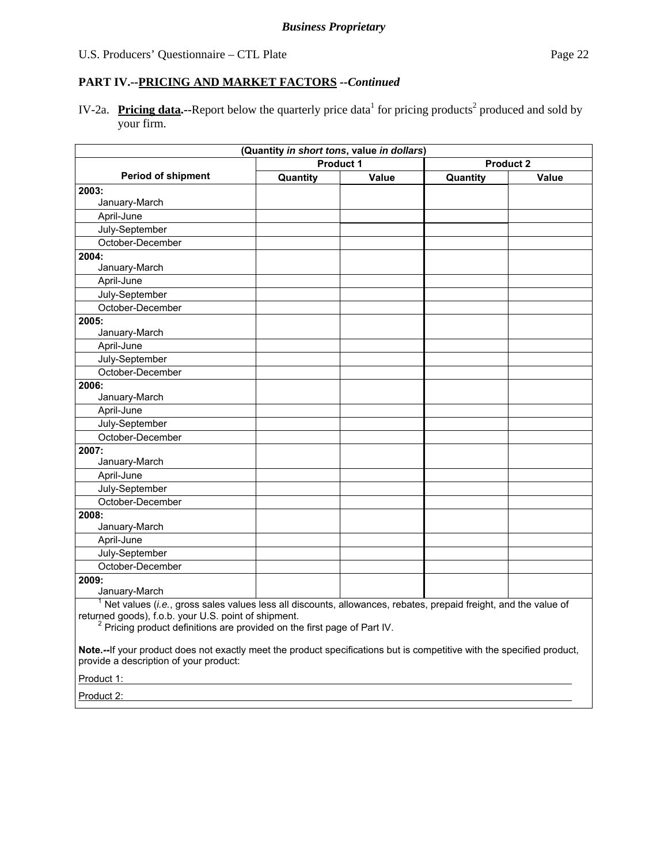IV-2a. Pricing data.--Report below the quarterly price data<sup>1</sup> for pricing products<sup>2</sup> produced and sold by your firm.

|                                                                                                                                                                                                                                                                    | (Quantity in short tons, value in dollars) |       |                  |       |
|--------------------------------------------------------------------------------------------------------------------------------------------------------------------------------------------------------------------------------------------------------------------|--------------------------------------------|-------|------------------|-------|
|                                                                                                                                                                                                                                                                    | Product 1                                  |       | <b>Product 2</b> |       |
| <b>Period of shipment</b>                                                                                                                                                                                                                                          | Quantity                                   | Value | Quantity         | Value |
| 2003:                                                                                                                                                                                                                                                              |                                            |       |                  |       |
| January-March                                                                                                                                                                                                                                                      |                                            |       |                  |       |
| April-June                                                                                                                                                                                                                                                         |                                            |       |                  |       |
| July-September                                                                                                                                                                                                                                                     |                                            |       |                  |       |
| October-December                                                                                                                                                                                                                                                   |                                            |       |                  |       |
| 2004:                                                                                                                                                                                                                                                              |                                            |       |                  |       |
| January-March                                                                                                                                                                                                                                                      |                                            |       |                  |       |
| April-June                                                                                                                                                                                                                                                         |                                            |       |                  |       |
| July-September                                                                                                                                                                                                                                                     |                                            |       |                  |       |
| October-December                                                                                                                                                                                                                                                   |                                            |       |                  |       |
| 2005:                                                                                                                                                                                                                                                              |                                            |       |                  |       |
| January-March                                                                                                                                                                                                                                                      |                                            |       |                  |       |
| April-June                                                                                                                                                                                                                                                         |                                            |       |                  |       |
| July-September                                                                                                                                                                                                                                                     |                                            |       |                  |       |
| October-December                                                                                                                                                                                                                                                   |                                            |       |                  |       |
| 2006:                                                                                                                                                                                                                                                              |                                            |       |                  |       |
| January-March                                                                                                                                                                                                                                                      |                                            |       |                  |       |
| April-June                                                                                                                                                                                                                                                         |                                            |       |                  |       |
| July-September                                                                                                                                                                                                                                                     |                                            |       |                  |       |
| October-December                                                                                                                                                                                                                                                   |                                            |       |                  |       |
| 2007:                                                                                                                                                                                                                                                              |                                            |       |                  |       |
| January-March                                                                                                                                                                                                                                                      |                                            |       |                  |       |
| April-June                                                                                                                                                                                                                                                         |                                            |       |                  |       |
| July-September                                                                                                                                                                                                                                                     |                                            |       |                  |       |
| October-December                                                                                                                                                                                                                                                   |                                            |       |                  |       |
| 2008:                                                                                                                                                                                                                                                              |                                            |       |                  |       |
| January-March                                                                                                                                                                                                                                                      |                                            |       |                  |       |
| April-June                                                                                                                                                                                                                                                         |                                            |       |                  |       |
| July-September                                                                                                                                                                                                                                                     |                                            |       |                  |       |
| October-December                                                                                                                                                                                                                                                   |                                            |       |                  |       |
| 2009:                                                                                                                                                                                                                                                              |                                            |       |                  |       |
| January-March                                                                                                                                                                                                                                                      |                                            |       |                  |       |
| $1$ Net values (i.e., gross sales values less all discounts, allowances, rebates, prepaid freight, and the value of<br>returned goods), f.o.b. your U.S. point of shipment.<br><sup>2</sup> Pricing product definitions are provided on the first page of Part IV. |                                            |       |                  |       |

**Note.--**If your product does not exactly meet the product specifications but is competitive with the specified product, provide a description of your product:

Product 1:

Product 2: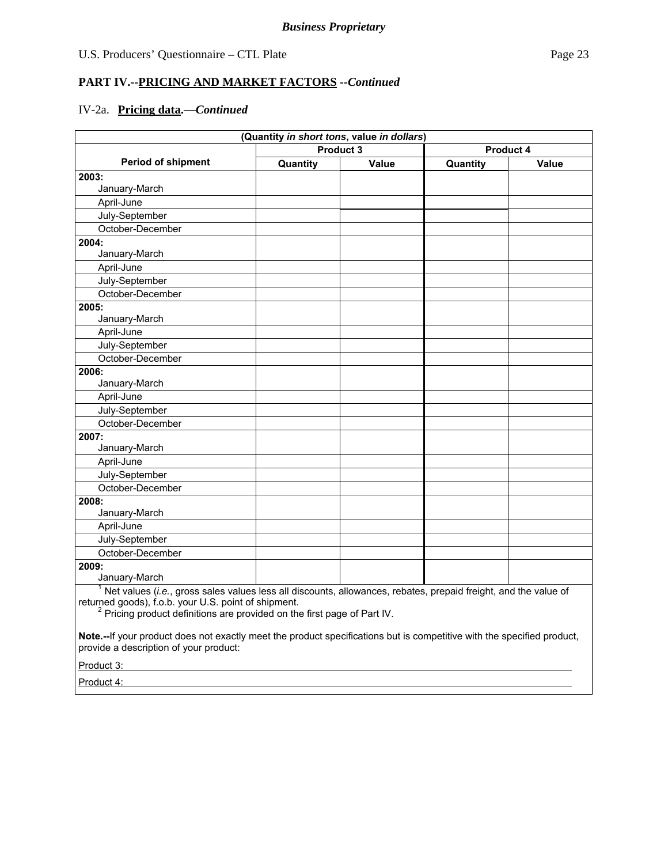#### **PART IV.--PRICING AND MARKET FACTORS** *--Continued*

#### IV-2a. **Pricing data.—***Continued*

|                                                                                                                 | (Quantity in short tons, value in dollars) |       |           |       |
|-----------------------------------------------------------------------------------------------------------------|--------------------------------------------|-------|-----------|-------|
|                                                                                                                 | Product 3                                  |       | Product 4 |       |
| <b>Period of shipment</b>                                                                                       | Quantity                                   | Value | Quantity  | Value |
| 2003:                                                                                                           |                                            |       |           |       |
| January-March                                                                                                   |                                            |       |           |       |
| April-June                                                                                                      |                                            |       |           |       |
| July-September                                                                                                  |                                            |       |           |       |
| October-December                                                                                                |                                            |       |           |       |
| 2004:                                                                                                           |                                            |       |           |       |
| January-March                                                                                                   |                                            |       |           |       |
| April-June                                                                                                      |                                            |       |           |       |
| July-September                                                                                                  |                                            |       |           |       |
| October-December                                                                                                |                                            |       |           |       |
| 2005:                                                                                                           |                                            |       |           |       |
| January-March                                                                                                   |                                            |       |           |       |
| April-June                                                                                                      |                                            |       |           |       |
| July-September                                                                                                  |                                            |       |           |       |
| October-December                                                                                                |                                            |       |           |       |
| 2006:                                                                                                           |                                            |       |           |       |
| January-March                                                                                                   |                                            |       |           |       |
| April-June                                                                                                      |                                            |       |           |       |
| July-September                                                                                                  |                                            |       |           |       |
| October-December                                                                                                |                                            |       |           |       |
| 2007:                                                                                                           |                                            |       |           |       |
| January-March                                                                                                   |                                            |       |           |       |
| April-June                                                                                                      |                                            |       |           |       |
| July-September                                                                                                  |                                            |       |           |       |
| October-December                                                                                                |                                            |       |           |       |
| 2008:                                                                                                           |                                            |       |           |       |
| January-March                                                                                                   |                                            |       |           |       |
| April-June                                                                                                      |                                            |       |           |       |
| July-September                                                                                                  |                                            |       |           |       |
| October-December                                                                                                |                                            |       |           |       |
| 2009:                                                                                                           |                                            |       |           |       |
| January-March                                                                                                   |                                            |       |           |       |
| Net values (i.e., gross sales values less all discounts, allowances, rebates, prepaid freight, and the value of |                                            |       |           |       |

returned goods), f.o.b. your U.S. point of shipment.<br><sup>2</sup> Pricing product definitions are provided on the first page of Part IV.

**Note.--**If your product does not exactly meet the product specifications but is competitive with the specified product, provide a description of your product:

Product 3:

Product 4: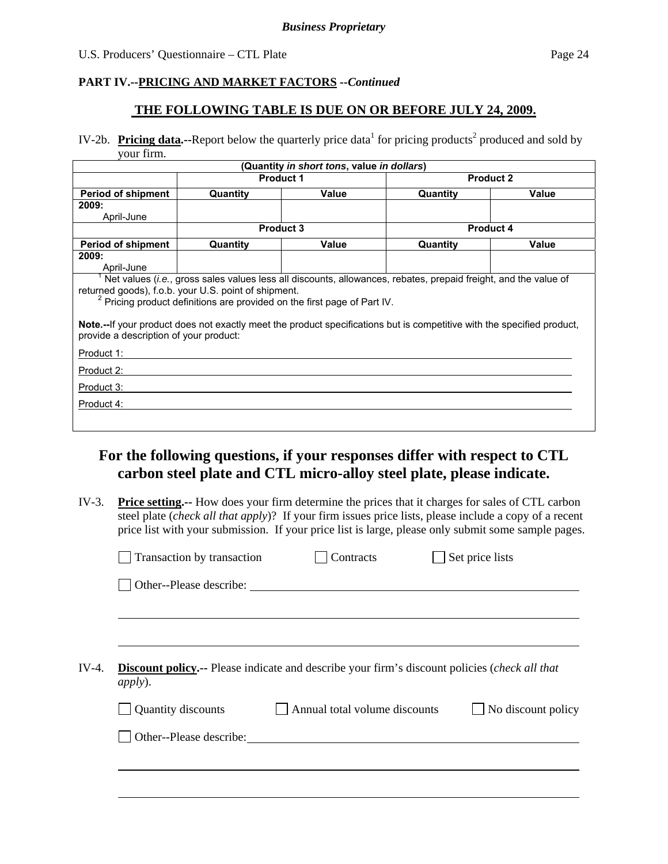## **THE FOLLOWING TABLE IS DUE ON OR BEFORE JULY 24, 2009.**

IV-2b. Pricing data.--Report below the quarterly price data<sup>1</sup> for pricing products<sup>2</sup> produced and sold by your firm.

|                                                                                                                                                        |                   | (Quantity <i>in short tons</i> , value <i>in dollars</i> )                                                                                                                                                                                                                                                                                |          |                  |
|--------------------------------------------------------------------------------------------------------------------------------------------------------|-------------------|-------------------------------------------------------------------------------------------------------------------------------------------------------------------------------------------------------------------------------------------------------------------------------------------------------------------------------------------|----------|------------------|
|                                                                                                                                                        | <b>Product 1</b>  |                                                                                                                                                                                                                                                                                                                                           |          | <b>Product 2</b> |
| <b>Period of shipment</b>                                                                                                                              | Value<br>Quantity |                                                                                                                                                                                                                                                                                                                                           | Quantity | Value            |
| 2009:                                                                                                                                                  |                   |                                                                                                                                                                                                                                                                                                                                           |          |                  |
| April-June                                                                                                                                             |                   |                                                                                                                                                                                                                                                                                                                                           |          |                  |
|                                                                                                                                                        |                   | <b>Product 3</b>                                                                                                                                                                                                                                                                                                                          |          | <b>Product 4</b> |
| <b>Period of shipment</b>                                                                                                                              | Quantity          | Value                                                                                                                                                                                                                                                                                                                                     | Quantity | Value            |
| 2009:                                                                                                                                                  |                   |                                                                                                                                                                                                                                                                                                                                           |          |                  |
| April-June                                                                                                                                             |                   |                                                                                                                                                                                                                                                                                                                                           |          |                  |
| returned goods), f.o.b. your U.S. point of shipment.<br>provide a description of your product:<br>Product 1:<br>Product 2:<br>Product 3:<br>Product 4: |                   | Net values ( <i>i.e.</i> , gross sales values less all discounts, allowances, rebates, prepaid freight, and the value of<br><sup>2</sup> Pricing product definitions are provided on the first page of Part IV.<br>Note.--If your product does not exactly meet the product specifications but is competitive with the specified product, |          |                  |

# **For the following questions, if your responses differ with respect to CTL carbon steel plate and CTL micro-alloy steel plate, please indicate.**

IV-3. **Price setting.--** How does your firm determine the prices that it charges for sales of CTL carbon steel plate (*check all that apply*)? If your firm issues price lists, please include a copy of a recent price list with your submission. If your price list is large, please only submit some sample pages.

|                          | Other--Please describe:       |                                                                                                      |
|--------------------------|-------------------------------|------------------------------------------------------------------------------------------------------|
|                          |                               |                                                                                                      |
|                          |                               |                                                                                                      |
|                          |                               |                                                                                                      |
|                          |                               |                                                                                                      |
| IV-4.<br><i>apply</i> ). |                               | <b>Discount policy.--</b> Please indicate and describe your firm's discount policies (check all that |
| Quantity discounts       | Annual total volume discounts | No discount policy                                                                                   |
|                          |                               |                                                                                                      |
|                          |                               |                                                                                                      |
| Other--Please describe:  |                               |                                                                                                      |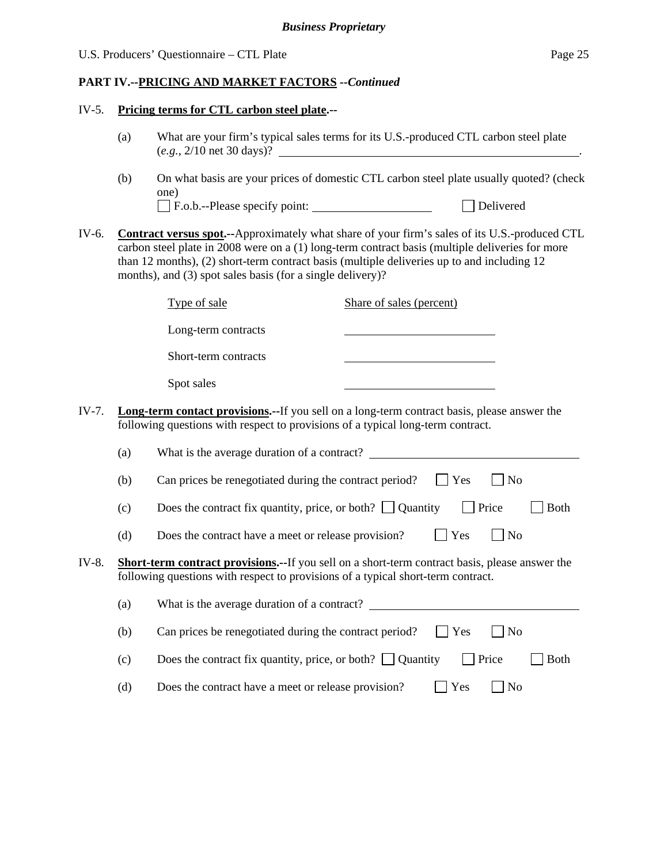#### IV-5. **Pricing terms for CTL carbon steel plate.--**

- (a) What are your firm's typical sales terms for its U.S.-produced CTL carbon steel plate (*e.g.*, 2/10 net 30 days)? .
- (b) On what basis are your prices of domestic CTL carbon steel plate usually quoted? (check one) F.o.b.--Please specify point: Delivered
- IV-6. **Contract versus spot.--**Approximately what share of your firm's sales of its U.S.-produced CTL carbon steel plate in 2008 were on a (1) long-term contract basis (multiple deliveries for more than 12 months), (2) short-term contract basis (multiple deliveries up to and including 12 months), and (3) spot sales basis (for a single delivery)?

|       | Type of sale                                                                    | Share of sales (percent)                                                                            |
|-------|---------------------------------------------------------------------------------|-----------------------------------------------------------------------------------------------------|
|       | Long-term contracts                                                             |                                                                                                     |
|       | Short-term contracts                                                            |                                                                                                     |
|       | Spot sales                                                                      |                                                                                                     |
| IV-7. | following questions with respect to provisions of a typical long-term contract. | <b>Long-term contact provisions.</b> --If you sell on a long-term contract basis, please answer the |

|       | (a)                                                                                                                                                                                       | What is the average duration of a contract?                                             |  |  |  |
|-------|-------------------------------------------------------------------------------------------------------------------------------------------------------------------------------------------|-----------------------------------------------------------------------------------------|--|--|--|
|       | (b)                                                                                                                                                                                       | Yes<br>Can prices be renegotiated during the contract period?<br>N <sub>o</sub>         |  |  |  |
|       | (c)                                                                                                                                                                                       | Does the contract fix quantity, price, or both? $\Box$ Quantity<br>Price<br><b>Both</b> |  |  |  |
|       | (d)                                                                                                                                                                                       | Yes<br>Does the contract have a meet or release provision?<br>N <sub>0</sub>            |  |  |  |
| IV-8. | <b>Short-term contract provisions.--If</b> you sell on a short-term contract basis, please answer the<br>following questions with respect to provisions of a typical short-term contract. |                                                                                         |  |  |  |
|       | (a)                                                                                                                                                                                       | What is the average duration of a contract?                                             |  |  |  |
|       | (b)                                                                                                                                                                                       | Yes<br>Can prices be renegotiated during the contract period?<br>No                     |  |  |  |
|       | (c)                                                                                                                                                                                       | Does the contract fix quantity, price, or both? $\Box$ Quantity<br>Price<br><b>Both</b> |  |  |  |

(d) Does the contract have a meet or release provision?  $\Box$  Yes  $\Box$  No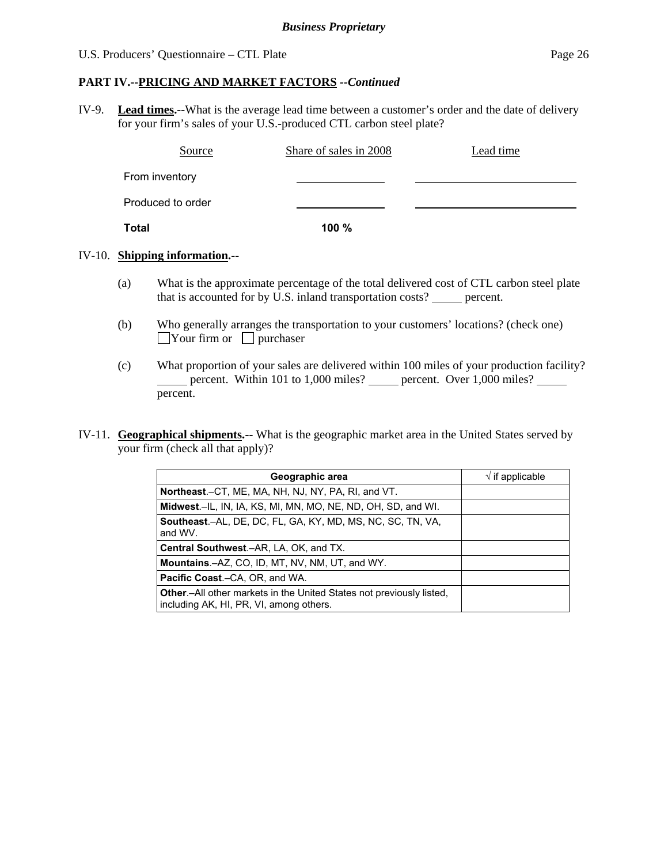#### **PART IV.--PRICING AND MARKET FACTORS** *--Continued*

IV-9. **Lead times.--**What is the average lead time between a customer's order and the date of delivery for your firm's sales of your U.S.-produced CTL carbon steel plate?

| Source            | Share of sales in 2008 | Lead time |
|-------------------|------------------------|-----------|
| From inventory    |                        |           |
| Produced to order |                        |           |
| Total             | 100 %                  |           |

#### IV-10. **Shipping information.--**

- (a) What is the approximate percentage of the total delivered cost of CTL carbon steel plate that is accounted for by U.S. inland transportation costs? \_\_\_\_\_ percent.
- (b) Who generally arranges the transportation to your customers' locations? (check one)  $\Box$ Your firm or  $\Box$  purchaser
- (c) What proportion of your sales are delivered within 100 miles of your production facility? percent. Within 101 to 1,000 miles? percent. Over  $1,000$  miles? percent.
- IV-11. **Geographical shipments.--** What is the geographic market area in the United States served by your firm (check all that apply)?

| Geographic area                                                                                                         | $\sqrt{}$ if applicable |
|-------------------------------------------------------------------------------------------------------------------------|-------------------------|
| Northeast.–CT, ME, MA, NH, NJ, NY, PA, RI, and VT.                                                                      |                         |
| Midwest.-IL, IN, IA, KS, MI, MN, MO, NE, ND, OH, SD, and WI.                                                            |                         |
| <b>Southeast.–AL, DE, DC, FL, GA, KY, MD, MS, NC, SC, TN, VA,</b><br>and WV.                                            |                         |
| Central Southwest.–AR, LA, OK, and TX.                                                                                  |                         |
| <b>Mountains.-AZ, CO, ID, MT, NV, NM, UT, and WY.</b>                                                                   |                         |
| <b>Pacific Coast.–CA, OR, and WA.</b>                                                                                   |                         |
| <b>Other.</b> —All other markets in the United States not previously listed,<br>including AK, HI, PR, VI, among others. |                         |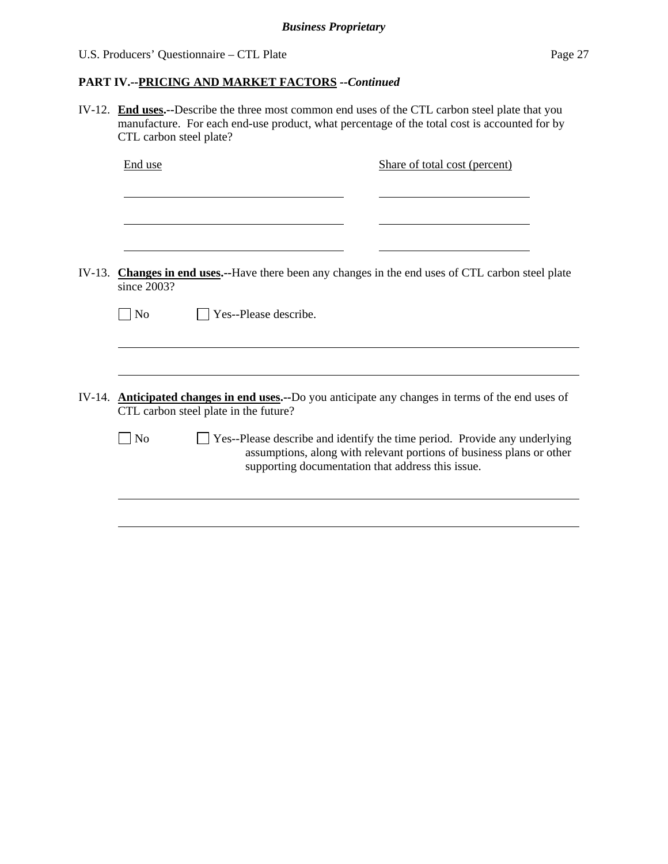IV-12. **End uses.--**Describe the three most common end uses of the CTL carbon steel plate that you manufacture. For each end-use product, what percentage of the total cost is accounted for by CTL carbon steel plate? End use Share of total cost (percent) l l l IV-13. **Changes in end uses.--**Have there been any changes in the end uses of CTL carbon steel plate since 2003?  $\neg$  No  $\neg$  Yes--Please describe.  $\overline{a}$ IV-14. **Anticipated changes in end uses.--**Do you anticipate any changes in terms of the end uses of CTL carbon steel plate in the future?  $\Box$  No  $\Box$  Yes--Please describe and identify the time period. Provide any underlying assumptions, along with relevant portions of business plans or other supporting documentation that address this issue.  $\overline{a}$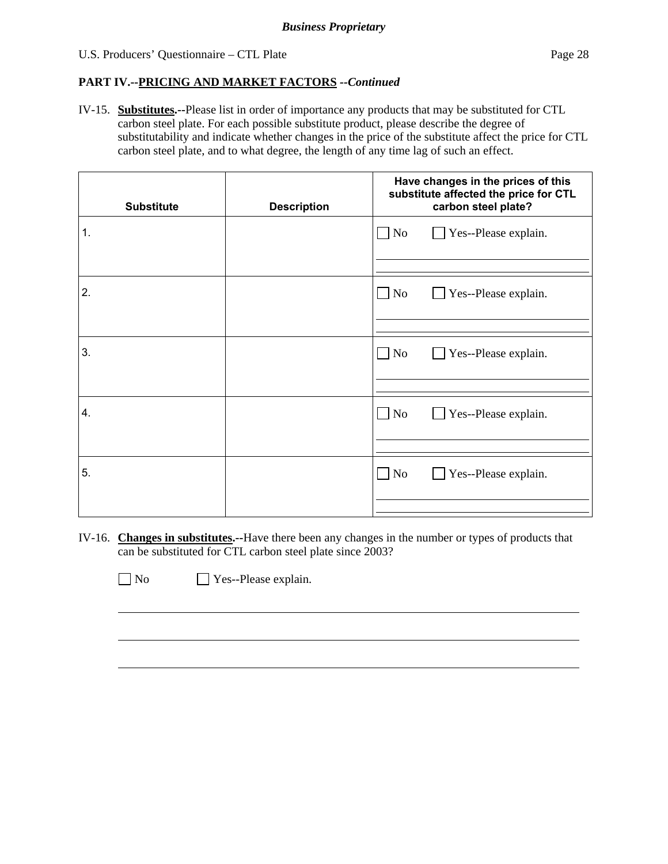IV-15. **Substitutes.--**Please list in order of importance any products that may be substituted for CTL carbon steel plate. For each possible substitute product, please describe the degree of substitutability and indicate whether changes in the price of the substitute affect the price for CTL carbon steel plate, and to what degree, the length of any time lag of such an effect.

| <b>Substitute</b> | <b>Description</b> | Have changes in the prices of this<br>substitute affected the price for CTL<br>carbon steel plate? |  |  |  |
|-------------------|--------------------|----------------------------------------------------------------------------------------------------|--|--|--|
| $\mathbf 1$ .     |                    | Yes--Please explain.<br>$\Box$ No                                                                  |  |  |  |
| 2.                |                    | $\Box$ No<br>Yes--Please explain.                                                                  |  |  |  |
| 3.                |                    | $\Box$ No<br>Yes--Please explain.<br>$\mathcal{L}$                                                 |  |  |  |
| 4.                |                    | $\Box$ No<br>Yes--Please explain.<br>$\mathbf{I}$                                                  |  |  |  |
| 5.                |                    | $\Box$ No<br>$\Box$ Yes--Please explain.                                                           |  |  |  |

IV-16. **Changes in substitutes.--**Have there been any changes in the number or types of products that can be substituted for CTL carbon steel plate since 2003?

 $\overline{a}$ 

No Yes--Please explain.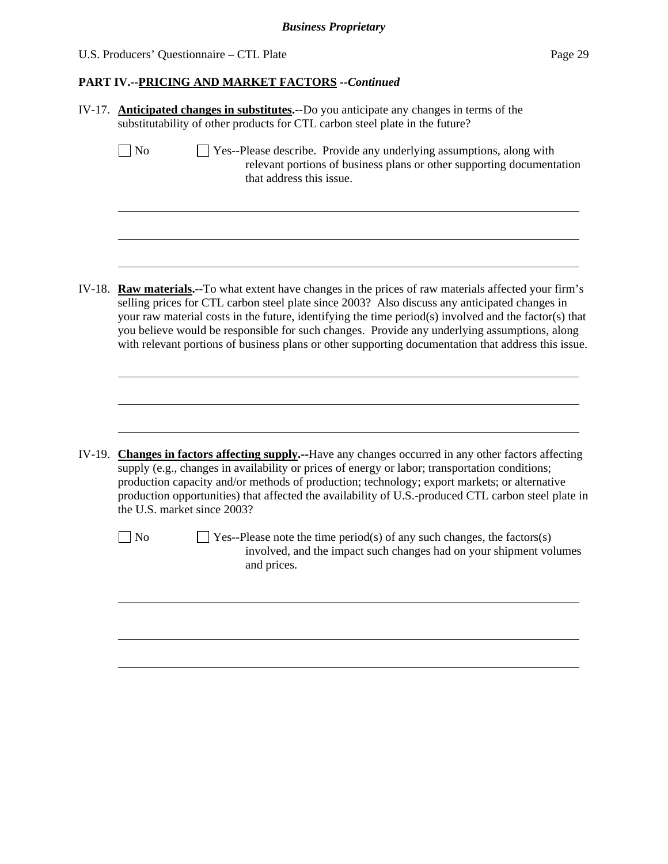|        | IV-17. <b>Anticipated changes in substitutes.</b> --Do you anticipate any changes in terms of the<br>substitutability of other products for CTL carbon steel plate in the future?                                                                                                                                                                                                                                                                                                                                        |  |  |  |  |
|--------|--------------------------------------------------------------------------------------------------------------------------------------------------------------------------------------------------------------------------------------------------------------------------------------------------------------------------------------------------------------------------------------------------------------------------------------------------------------------------------------------------------------------------|--|--|--|--|
|        | ] No<br>Yes--Please describe. Provide any underlying assumptions, along with<br>relevant portions of business plans or other supporting documentation<br>that address this issue.                                                                                                                                                                                                                                                                                                                                        |  |  |  |  |
|        |                                                                                                                                                                                                                                                                                                                                                                                                                                                                                                                          |  |  |  |  |
| IV-18. | <b>Raw materials.</b> --To what extent have changes in the prices of raw materials affected your firm's<br>selling prices for CTL carbon steel plate since 2003? Also discuss any anticipated changes in<br>your raw material costs in the future, identifying the time period(s) involved and the factor(s) that<br>you believe would be responsible for such changes. Provide any underlying assumptions, along<br>with relevant portions of business plans or other supporting documentation that address this issue. |  |  |  |  |
|        |                                                                                                                                                                                                                                                                                                                                                                                                                                                                                                                          |  |  |  |  |
| IV-19. | <b>Changes in factors affecting supply.</b> --Have any changes occurred in any other factors affecting<br>supply (e.g., changes in availability or prices of energy or labor; transportation conditions;<br>production capacity and/or methods of production; technology; export markets; or alternative<br>production opportunities) that affected the availability of U.S.-produced CTL carbon steel plate in<br>the U.S. market since 2003?                                                                           |  |  |  |  |
|        | $\Box$ Yes--Please note the time period(s) of any such changes, the factors(s)<br>$ $ No<br>involved, and the impact such changes had on your shipment volumes<br>and prices.                                                                                                                                                                                                                                                                                                                                            |  |  |  |  |
|        |                                                                                                                                                                                                                                                                                                                                                                                                                                                                                                                          |  |  |  |  |
|        |                                                                                                                                                                                                                                                                                                                                                                                                                                                                                                                          |  |  |  |  |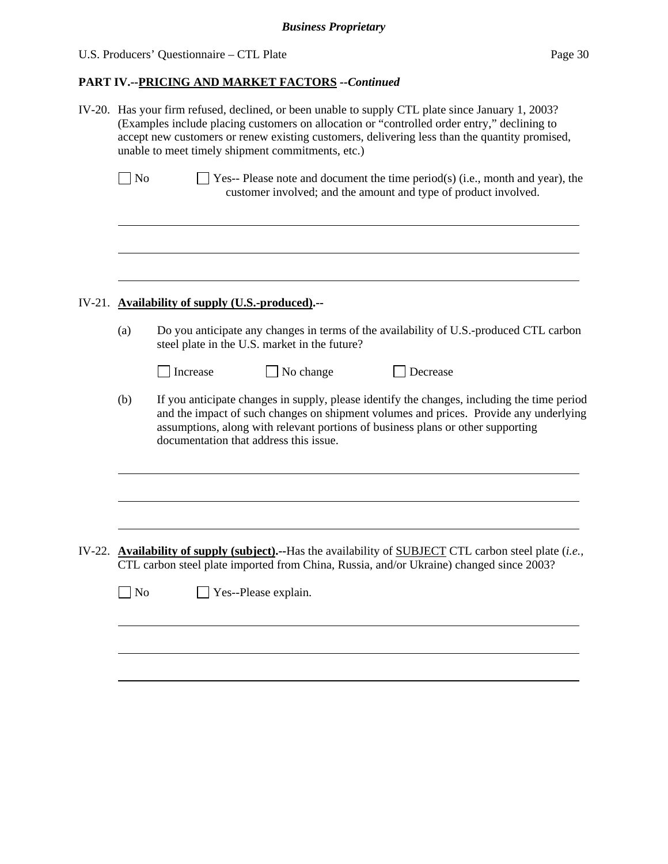| IV-20. Has your firm refused, declined, or been unable to supply CTL plate since January 1, 2003?<br>(Examples include placing customers on allocation or "controlled order entry," declining to<br>accept new customers or renew existing customers, delivering less than the quantity promised,<br>unable to meet timely shipment commitments, etc.) |                                                                                                                                                                                                                                                                                                                   |  |  |
|--------------------------------------------------------------------------------------------------------------------------------------------------------------------------------------------------------------------------------------------------------------------------------------------------------------------------------------------------------|-------------------------------------------------------------------------------------------------------------------------------------------------------------------------------------------------------------------------------------------------------------------------------------------------------------------|--|--|
| No                                                                                                                                                                                                                                                                                                                                                     | $\exists$ Yes-- Please note and document the time period(s) (i.e., month and year), the<br>customer involved; and the amount and type of product involved.                                                                                                                                                        |  |  |
|                                                                                                                                                                                                                                                                                                                                                        | IV-21. Availability of supply (U.S.-produced).--                                                                                                                                                                                                                                                                  |  |  |
| (a)                                                                                                                                                                                                                                                                                                                                                    | Do you anticipate any changes in terms of the availability of U.S.-produced CTL carbon<br>steel plate in the U.S. market in the future?<br>$\Box$ No change<br>Increase<br>Decrease                                                                                                                               |  |  |
| (b)                                                                                                                                                                                                                                                                                                                                                    | If you anticipate changes in supply, please identify the changes, including the time period<br>and the impact of such changes on shipment volumes and prices. Provide any underlying<br>assumptions, along with relevant portions of business plans or other supporting<br>documentation that address this issue. |  |  |
|                                                                                                                                                                                                                                                                                                                                                        |                                                                                                                                                                                                                                                                                                                   |  |  |
| $\Box$ No                                                                                                                                                                                                                                                                                                                                              | IV-22. Availability of supply (subject).--Has the availability of SUBJECT CTL carbon steel plate $(i.e.,$<br>CTL carbon steel plate imported from China, Russia, and/or Ukraine) changed since 2003?<br>Yes--Please explain.                                                                                      |  |  |
|                                                                                                                                                                                                                                                                                                                                                        |                                                                                                                                                                                                                                                                                                                   |  |  |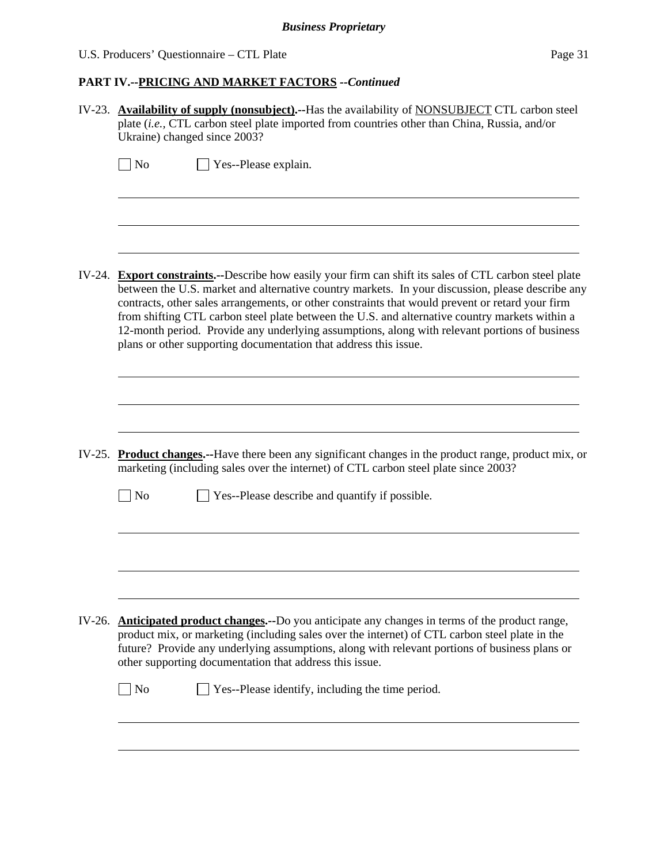|  | U.S. Producers' Questionnaire – CTL Plate | Page 31 |
|--|-------------------------------------------|---------|
|--|-------------------------------------------|---------|

| IV-23. Availability of supply (nonsubject).--Has the availability of NONSUBJECT CTL carbon steel<br>plate (i.e., CTL carbon steel plate imported from countries other than China, Russia, and/or<br>Ukraine) changed since 2003?                                                                                                                                                                                                                                                                                                                                                       |  |  |  |
|----------------------------------------------------------------------------------------------------------------------------------------------------------------------------------------------------------------------------------------------------------------------------------------------------------------------------------------------------------------------------------------------------------------------------------------------------------------------------------------------------------------------------------------------------------------------------------------|--|--|--|
| $\exists$ No<br>Yes--Please explain.                                                                                                                                                                                                                                                                                                                                                                                                                                                                                                                                                   |  |  |  |
| IV-24. Export constraints.--Describe how easily your firm can shift its sales of CTL carbon steel plate<br>between the U.S. market and alternative country markets. In your discussion, please describe any<br>contracts, other sales arrangements, or other constraints that would prevent or retard your firm<br>from shifting CTL carbon steel plate between the U.S. and alternative country markets within a<br>12-month period. Provide any underlying assumptions, along with relevant portions of business<br>plans or other supporting documentation that address this issue. |  |  |  |
|                                                                                                                                                                                                                                                                                                                                                                                                                                                                                                                                                                                        |  |  |  |
| IV-25. Product changes.--Have there been any significant changes in the product range, product mix, or<br>marketing (including sales over the internet) of CTL carbon steel plate since 2003?                                                                                                                                                                                                                                                                                                                                                                                          |  |  |  |
| $\Box$ No<br>Yes--Please describe and quantify if possible.                                                                                                                                                                                                                                                                                                                                                                                                                                                                                                                            |  |  |  |
|                                                                                                                                                                                                                                                                                                                                                                                                                                                                                                                                                                                        |  |  |  |
| IV-26. Anticipated product changes.--Do you anticipate any changes in terms of the product range,<br>product mix, or marketing (including sales over the internet) of CTL carbon steel plate in the<br>future? Provide any underlying assumptions, along with relevant portions of business plans or<br>other supporting documentation that address this issue.                                                                                                                                                                                                                        |  |  |  |
| Yes--Please identify, including the time period.<br>$\Box$ No                                                                                                                                                                                                                                                                                                                                                                                                                                                                                                                          |  |  |  |
|                                                                                                                                                                                                                                                                                                                                                                                                                                                                                                                                                                                        |  |  |  |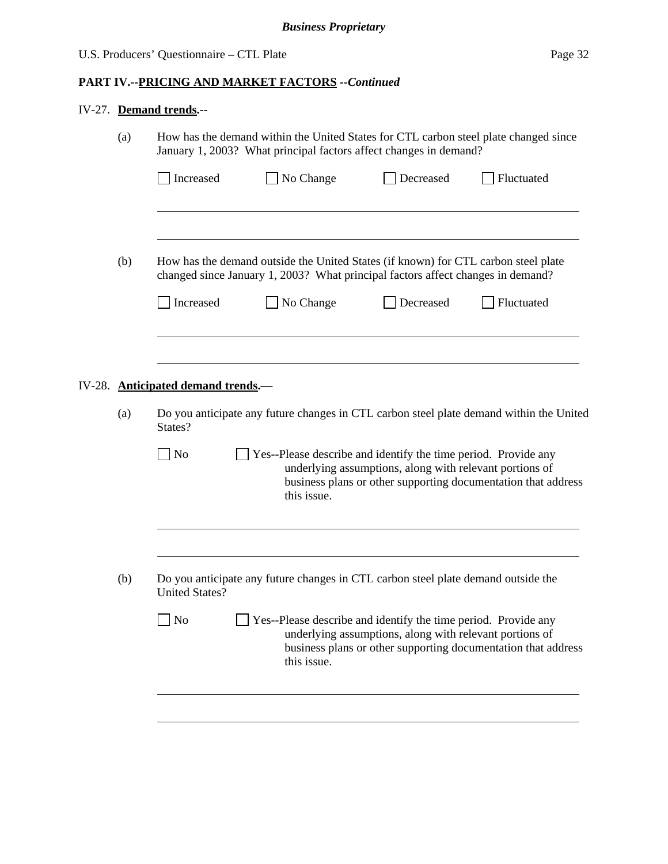# IV-27. **Demand trends.--**

|  | (a)                                                                                                                                                                                                                         | How has the demand within the United States for CTL carbon steel plate changed since<br>January 1, 2003? What principal factors affect changes in demand?                                                           |                                                                                                                          |  |  |  |  |  |
|--|-----------------------------------------------------------------------------------------------------------------------------------------------------------------------------------------------------------------------------|---------------------------------------------------------------------------------------------------------------------------------------------------------------------------------------------------------------------|--------------------------------------------------------------------------------------------------------------------------|--|--|--|--|--|
|  |                                                                                                                                                                                                                             | No Change<br>Increased<br>Decreased                                                                                                                                                                                 | Fluctuated                                                                                                               |  |  |  |  |  |
|  | (b)                                                                                                                                                                                                                         | How has the demand outside the United States (if known) for CTL carbon steel plate<br>changed since January 1, 2003? What principal factors affect changes in demand?<br>Increased<br>$\Box$ No Change<br>Decreased | Fluctuated                                                                                                               |  |  |  |  |  |
|  |                                                                                                                                                                                                                             |                                                                                                                                                                                                                     |                                                                                                                          |  |  |  |  |  |
|  |                                                                                                                                                                                                                             | IV-28. Anticipated demand trends.—                                                                                                                                                                                  |                                                                                                                          |  |  |  |  |  |
|  | Do you anticipate any future changes in CTL carbon steel plate demand within the United                                                                                                                                     |                                                                                                                                                                                                                     |                                                                                                                          |  |  |  |  |  |
|  | N <sub>o</sub><br>Yes--Please describe and identify the time period. Provide any<br>underlying assumptions, along with relevant portions of<br>business plans or other supporting documentation that address<br>this issue. |                                                                                                                                                                                                                     |                                                                                                                          |  |  |  |  |  |
|  |                                                                                                                                                                                                                             |                                                                                                                                                                                                                     |                                                                                                                          |  |  |  |  |  |
|  | (b)                                                                                                                                                                                                                         | Do you anticipate any future changes in CTL carbon steel plate demand outside the<br><b>United States?</b>                                                                                                          |                                                                                                                          |  |  |  |  |  |
|  |                                                                                                                                                                                                                             | N <sub>o</sub><br>Yes--Please describe and identify the time period. Provide any<br>this issue.                                                                                                                     | underlying assumptions, along with relevant portions of<br>business plans or other supporting documentation that address |  |  |  |  |  |
|  |                                                                                                                                                                                                                             |                                                                                                                                                                                                                     |                                                                                                                          |  |  |  |  |  |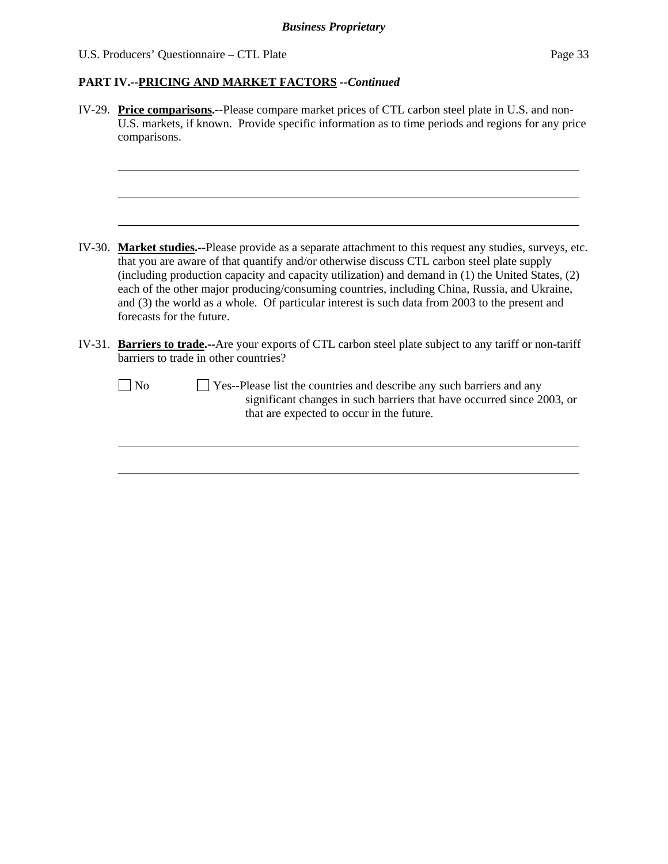| IV-29. Price comparisons.--Please compare market prices of CTL carbon steel plate in U.S. and non-<br>U.S. markets, if known. Provide specific information as to time periods and regions for any price<br>comparisons.                                                                                                                                                                                                                                                                                                                      |
|----------------------------------------------------------------------------------------------------------------------------------------------------------------------------------------------------------------------------------------------------------------------------------------------------------------------------------------------------------------------------------------------------------------------------------------------------------------------------------------------------------------------------------------------|
| IV-30. Market studies.--Please provide as a separate attachment to this request any studies, surveys, etc.<br>that you are aware of that quantify and/or otherwise discuss CTL carbon steel plate supply<br>(including production capacity and capacity utilization) and demand in (1) the United States, (2)<br>each of the other major producing/consuming countries, including China, Russia, and Ukraine,<br>and (3) the world as a whole. Of particular interest is such data from 2003 to the present and<br>forecasts for the future. |
| IV-31. Barriers to trade.--Are your exports of CTL carbon steel plate subject to any tariff or non-tariff<br>barriers to trade in other countries?                                                                                                                                                                                                                                                                                                                                                                                           |
| Yes--Please list the countries and describe any such barriers and any<br>$\blacksquare$ No<br>significant changes in such barriers that have occurred since 2003, or<br>that are expected to occur in the future.                                                                                                                                                                                                                                                                                                                            |
|                                                                                                                                                                                                                                                                                                                                                                                                                                                                                                                                              |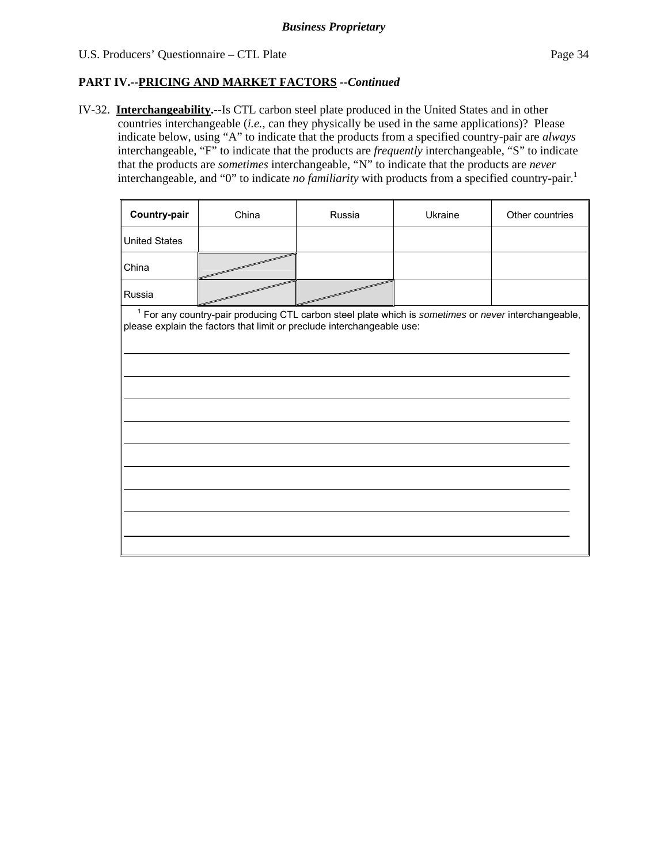# **PART IV.--PRICING AND MARKET FACTORS** *--Continued*

IV-32. **Interchangeability.--**Is CTL carbon steel plate produced in the United States and in other countries interchangeable (*i.e.*, can they physically be used in the same applications)? Please indicate below, using "A" to indicate that the products from a specified country-pair are *always* interchangeable, "F" to indicate that the products are *frequently* interchangeable, "S" to indicate that the products are *sometimes* interchangeable, "N" to indicate that the products are *never* interchangeable, and "0" to indicate *no familiarity* with products from a specified country-pair.<sup>1</sup>

| <b>Country-pair</b>  | China | Russia | Ukraine | Other countries |
|----------------------|-------|--------|---------|-----------------|
| <b>United States</b> |       |        |         |                 |
| China                |       |        |         |                 |
| Russia               |       |        |         |                 |

<sup>1</sup> For any country-pair producing CTL carbon steel plate which is *sometimes* or *never* interchangeable, please explain the factors that limit or preclude interchangeable use: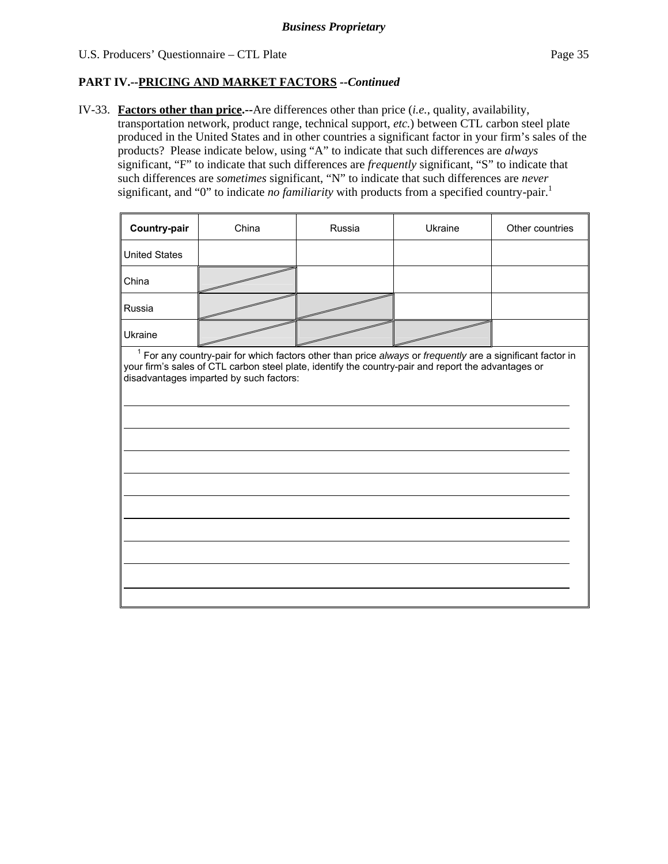IV-33. **Factors other than price.--**Are differences other than price (*i.e.*, quality, availability, transportation network, product range, technical support, *etc.*) between CTL carbon steel plate produced in the United States and in other countries a significant factor in your firm's sales of the products? Please indicate below, using "A" to indicate that such differences are *always* significant, "F" to indicate that such differences are *frequently* significant, "S" to indicate that such differences are *sometimes* significant, "N" to indicate that such differences are *never* significant, and "0" to indicate *no familiarity* with products from a specified country-pair.<sup>1</sup>

| Country-pair                                                                                                                                                                                                                                                   | China | Russia | Ukraine | Other countries |  |  |  |
|----------------------------------------------------------------------------------------------------------------------------------------------------------------------------------------------------------------------------------------------------------------|-------|--------|---------|-----------------|--|--|--|
| <b>United States</b>                                                                                                                                                                                                                                           |       |        |         |                 |  |  |  |
| China                                                                                                                                                                                                                                                          |       |        |         |                 |  |  |  |
| Russia                                                                                                                                                                                                                                                         |       |        |         |                 |  |  |  |
| Ukraine                                                                                                                                                                                                                                                        |       |        |         |                 |  |  |  |
| $1$ For any country-pair for which factors other than price always or frequently are a significant factor in<br>your firm's sales of CTL carbon steel plate, identify the country-pair and report the advantages or<br>disadvantages imparted by such factors: |       |        |         |                 |  |  |  |
|                                                                                                                                                                                                                                                                |       |        |         |                 |  |  |  |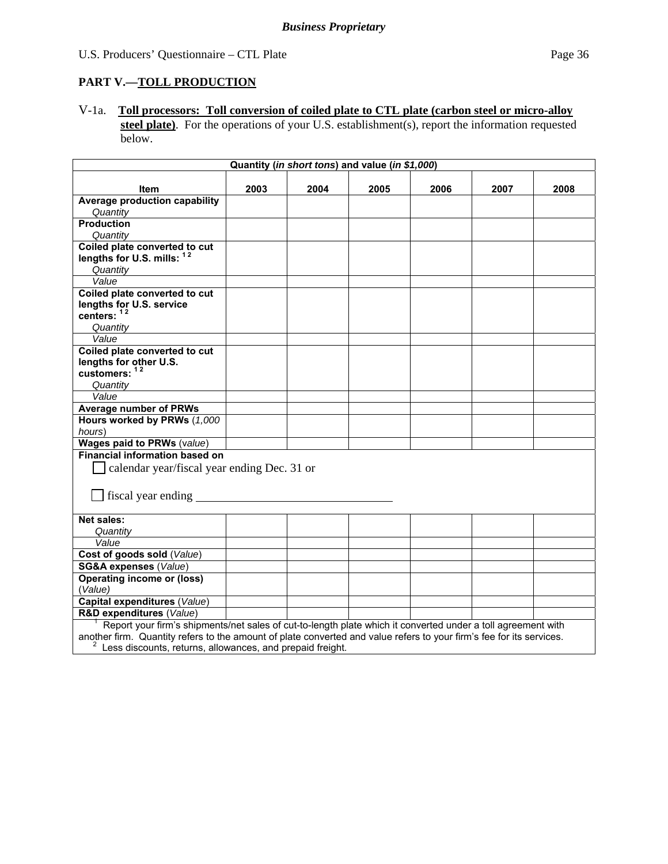# **PART V.—TOLL PRODUCTION**

V-1a. **Toll processors: Toll conversion of coiled plate to CTL plate (carbon steel or micro-alloy** steel plate). For the operations of your U.S. establishment(s), report the information requested below.

| Quantity (in short tons) and value (in \$1,000)                                                                      |      |      |      |      |      |      |
|----------------------------------------------------------------------------------------------------------------------|------|------|------|------|------|------|
|                                                                                                                      |      |      |      |      |      |      |
| <b>Item</b>                                                                                                          | 2003 | 2004 | 2005 | 2006 | 2007 | 2008 |
| Average production capability                                                                                        |      |      |      |      |      |      |
| Quantity<br><b>Production</b>                                                                                        |      |      |      |      |      |      |
|                                                                                                                      |      |      |      |      |      |      |
| Quantity<br>Coiled plate converted to cut                                                                            |      |      |      |      |      |      |
| lengths for U.S. mills: 12                                                                                           |      |      |      |      |      |      |
| Quantity                                                                                                             |      |      |      |      |      |      |
| Value                                                                                                                |      |      |      |      |      |      |
| Coiled plate converted to cut                                                                                        |      |      |      |      |      |      |
| lengths for U.S. service                                                                                             |      |      |      |      |      |      |
| centers: 12                                                                                                          |      |      |      |      |      |      |
| Quantity                                                                                                             |      |      |      |      |      |      |
| Value                                                                                                                |      |      |      |      |      |      |
| Coiled plate converted to cut                                                                                        |      |      |      |      |      |      |
| lengths for other U.S.                                                                                               |      |      |      |      |      |      |
| customers: $12$                                                                                                      |      |      |      |      |      |      |
| Quantity                                                                                                             |      |      |      |      |      |      |
| Value                                                                                                                |      |      |      |      |      |      |
| <b>Average number of PRWs</b>                                                                                        |      |      |      |      |      |      |
| Hours worked by PRWs (1,000                                                                                          |      |      |      |      |      |      |
| hours)                                                                                                               |      |      |      |      |      |      |
| Wages paid to PRWs (value)                                                                                           |      |      |      |      |      |      |
| <b>Financial information based on</b>                                                                                |      |      |      |      |      |      |
| calendar year/fiscal year ending Dec. 31 or                                                                          |      |      |      |      |      |      |
|                                                                                                                      |      |      |      |      |      |      |
| $\Box$ fiscal year ending $\Box$                                                                                     |      |      |      |      |      |      |
|                                                                                                                      |      |      |      |      |      |      |
| Net sales:                                                                                                           |      |      |      |      |      |      |
| Quantity                                                                                                             |      |      |      |      |      |      |
| Value                                                                                                                |      |      |      |      |      |      |
| Cost of goods sold (Value)                                                                                           |      |      |      |      |      |      |
| <b>SG&amp;A expenses (Value)</b>                                                                                     |      |      |      |      |      |      |
| <b>Operating income or (loss)</b>                                                                                    |      |      |      |      |      |      |
| (Value)                                                                                                              |      |      |      |      |      |      |
| Capital expenditures (Value)                                                                                         |      |      |      |      |      |      |
| <b>R&amp;D expenditures (Value)</b>                                                                                  |      |      |      |      |      |      |
| Report your firm's shipments/net sales of cut-to-length plate which it converted under a toll agreement with         |      |      |      |      |      |      |
| another firm. Quantity refers to the amount of plate converted and value refers to your firm's fee for its services. |      |      |      |      |      |      |
| Less discounts, returns, allowances, and prepaid freight.                                                            |      |      |      |      |      |      |